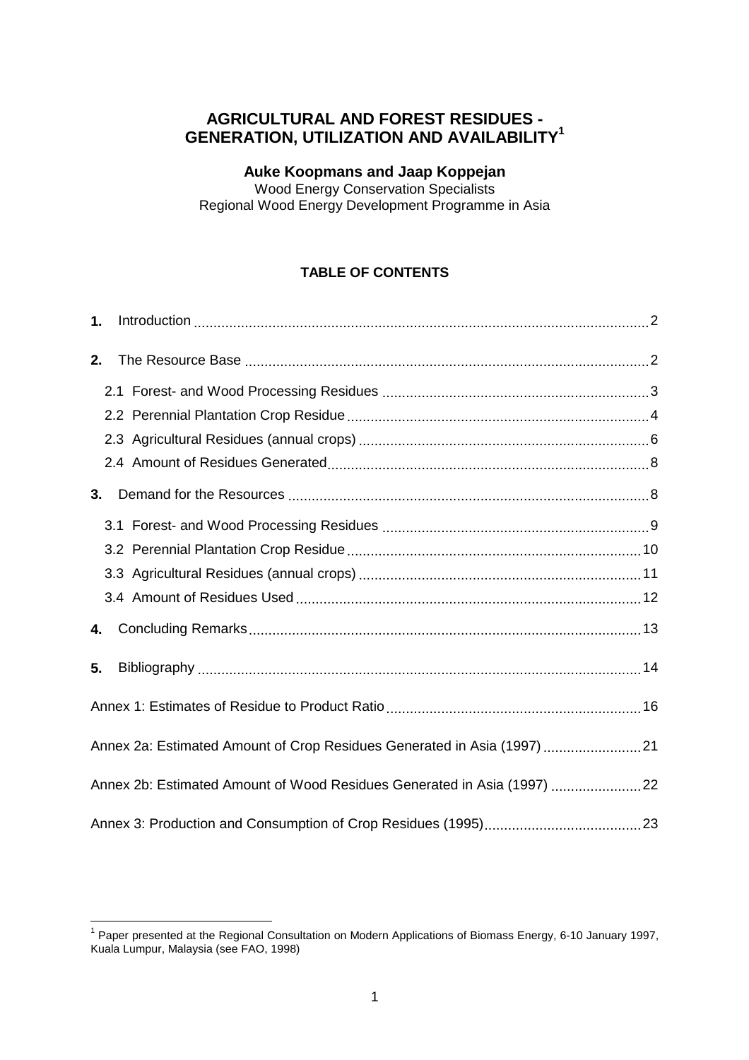# **AGRICULTURAL AND FOREST RESIDUES - GENERATION, UTILIZATION AND AVAILABILITY1**

#### **Auke Koopmans and Jaap Koppejan**

Wood Energy Conservation Specialists Regional Wood Energy Development Programme in Asia

### **TABLE OF CONTENTS**

| 1. |                                                                          |  |
|----|--------------------------------------------------------------------------|--|
| 2. |                                                                          |  |
|    |                                                                          |  |
|    |                                                                          |  |
|    |                                                                          |  |
|    |                                                                          |  |
| 3. |                                                                          |  |
|    |                                                                          |  |
|    |                                                                          |  |
|    |                                                                          |  |
|    |                                                                          |  |
| 4. |                                                                          |  |
| 5. |                                                                          |  |
|    |                                                                          |  |
|    | Annex 2a: Estimated Amount of Crop Residues Generated in Asia (1997)  21 |  |
|    | Annex 2b: Estimated Amount of Wood Residues Generated in Asia (1997) 22  |  |
|    |                                                                          |  |

<sup>————————————————————&</sup>lt;br><sup>1</sup> Paper presented at the Regional Consultation on Modern Applications of Biomass Energy, 6-10 January 1997, Kuala Lumpur, Malaysia (see FAO, 1998)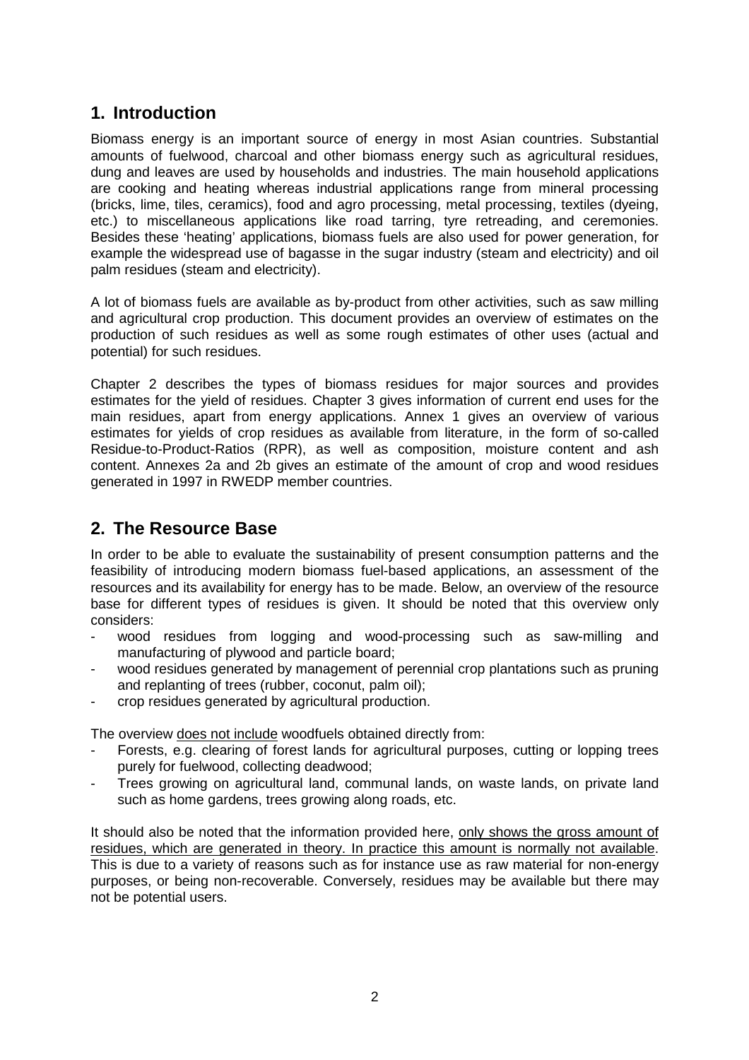# <span id="page-1-0"></span>**1. Introduction**

Biomass energy is an important source of energy in most Asian countries. Substantial amounts of fuelwood, charcoal and other biomass energy such as agricultural residues, dung and leaves are used by households and industries. The main household applications are cooking and heating whereas industrial applications range from mineral processing (bricks, lime, tiles, ceramics), food and agro processing, metal processing, textiles (dyeing, etc.) to miscellaneous applications like road tarring, tyre retreading, and ceremonies. Besides these 'heating' applications, biomass fuels are also used for power generation, for example the widespread use of bagasse in the sugar industry (steam and electricity) and oil palm residues (steam and electricity).

<span id="page-1-1"></span>A lot of biomass fuels are available as by-product from other activities, such as saw milling and agricultural crop production. This document provides an overview of estimates on the production of such residues as well as some rough estimates of other uses (actual and potential) for such residues.

Chapter 2 describes the types of biomass residues for major sources and provides estimates for the yield of residues. Chapter 3 gives information of current end uses for the main residues, apart from energy applications. Annex 1 gives an overview of various estimates for yields of crop residues as available from literature, in the form of so-called Residue-to-Product-Ratios (RPR), as well as composition, moisture content and ash content. Annexes 2a and 2b gives an estimate of the amount of crop and wood residues generated in 1997 in RWEDP member countries.

# **2. The Resource Base**

In order to be able to evaluate the sustainability of present consumption patterns and the feasibility of introducing modern biomass fuel-based applications, an assessment of the resources and its availability for energy has to be made. Below, an overview of the resource base for different types of residues is given. It should be noted that this overview only considers:

- wood residues from logging and wood-processing such as saw-milling and manufacturing of plywood and particle board;
- wood residues generated by management of perennial crop plantations such as pruning and replanting of trees (rubber, coconut, palm oil);
- crop residues generated by agricultural production.

The overview does not include woodfuels obtained directly from:

- Forests, e.g. clearing of forest lands for agricultural purposes, cutting or lopping trees purely for fuelwood, collecting deadwood;
- Trees growing on agricultural land, communal lands, on waste lands, on private land such as home gardens, trees growing along roads, etc.

It should also be noted that the information provided here, only shows the gross amount of residues, which are generated in theory. In practice this amount is normally not available. This is due to a variety of reasons such as for instance use as raw material for non-energy purposes, or being non-recoverable. Conversely, residues may be available but there may not be potential users.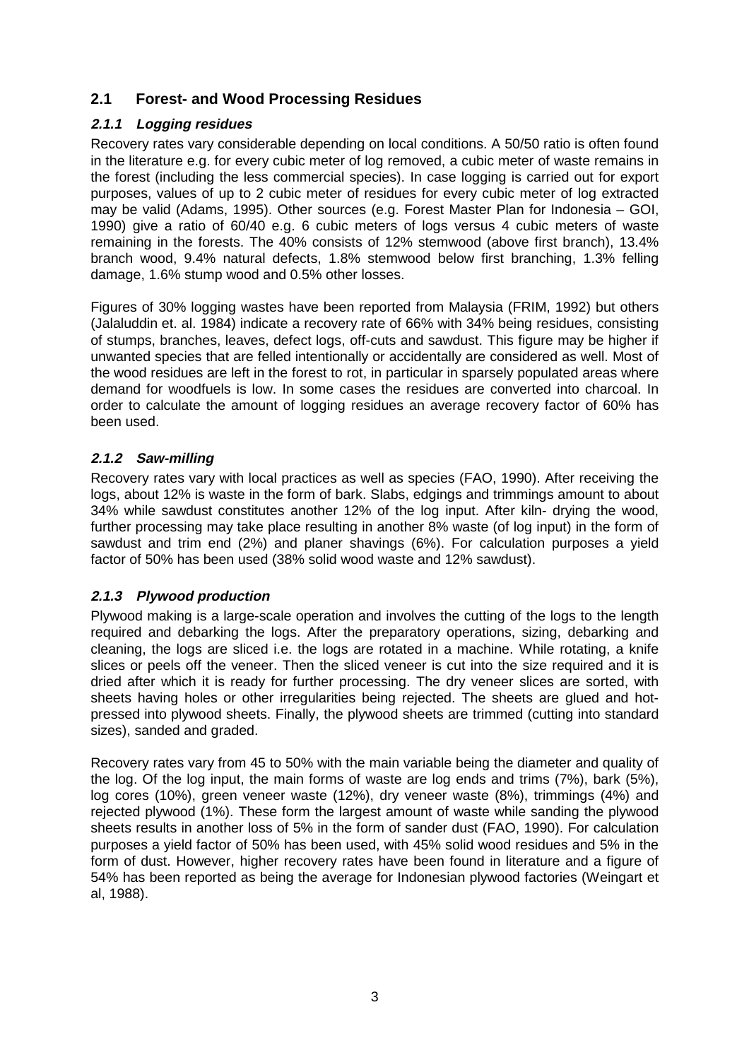### <span id="page-2-0"></span>**2.1 Forest- and Wood Processing Residues**

### **2.1.1 Logging residues**

Recovery rates vary considerable depending on local conditions. A 50/50 ratio is often found in the literature e.g. for every cubic meter of log removed, a cubic meter of waste remains in the forest (including the less commercial species). In case logging is carried out for export purposes, values of up to 2 cubic meter of residues for every cubic meter of log extracted may be valid (Adams, 1995). Other sources (e.g. Forest Master Plan for Indonesia – GOI, 1990) give a ratio of 60/40 e.g. 6 cubic meters of logs versus 4 cubic meters of waste remaining in the forests. The 40% consists of 12% stemwood (above first branch), 13.4% branch wood, 9.4% natural defects, 1.8% stemwood below first branching, 1.3% felling damage, 1.6% stump wood and 0.5% other losses.

Figures of 30% logging wastes have been reported from Malaysia (FRIM, 1992) but others (Jalaluddin et. al. 1984) indicate a recovery rate of 66% with 34% being residues, consisting of stumps, branches, leaves, defect logs, off-cuts and sawdust. This figure may be higher if unwanted species that are felled intentionally or accidentally are considered as well. Most of the wood residues are left in the forest to rot, in particular in sparsely populated areas where demand for woodfuels is low. In some cases the residues are converted into charcoal. In order to calculate the amount of logging residues an average recovery factor of 60% has been used.

#### **2.1.2 Saw-milling**

Recovery rates vary with local practices as well as species (FAO, 1990). After receiving the logs, about 12% is waste in the form of bark. Slabs, edgings and trimmings amount to about 34% while sawdust constitutes another 12% of the log input. After kiln- drying the wood, further processing may take place resulting in another 8% waste (of log input) in the form of sawdust and trim end (2%) and planer shavings (6%). For calculation purposes a yield factor of 50% has been used (38% solid wood waste and 12% sawdust).

### **2.1.3 Plywood production**

Plywood making is a large-scale operation and involves the cutting of the logs to the length required and debarking the logs. After the preparatory operations, sizing, debarking and cleaning, the logs are sliced i.e. the logs are rotated in a machine. While rotating, a knife slices or peels off the veneer. Then the sliced veneer is cut into the size required and it is dried after which it is ready for further processing. The dry veneer slices are sorted, with sheets having holes or other irregularities being rejected. The sheets are glued and hotpressed into plywood sheets. Finally, the plywood sheets are trimmed (cutting into standard sizes), sanded and graded.

Recovery rates vary from 45 to 50% with the main variable being the diameter and quality of the log. Of the log input, the main forms of waste are log ends and trims (7%), bark (5%), log cores (10%), green veneer waste (12%), dry veneer waste (8%), trimmings (4%) and rejected plywood (1%). These form the largest amount of waste while sanding the plywood sheets results in another loss of 5% in the form of sander dust (FAO, 1990). For calculation purposes a yield factor of 50% has been used, with 45% solid wood residues and 5% in the form of dust. However, higher recovery rates have been found in literature and a figure of 54% has been reported as being the average for Indonesian plywood factories (Weingart et al, 1988).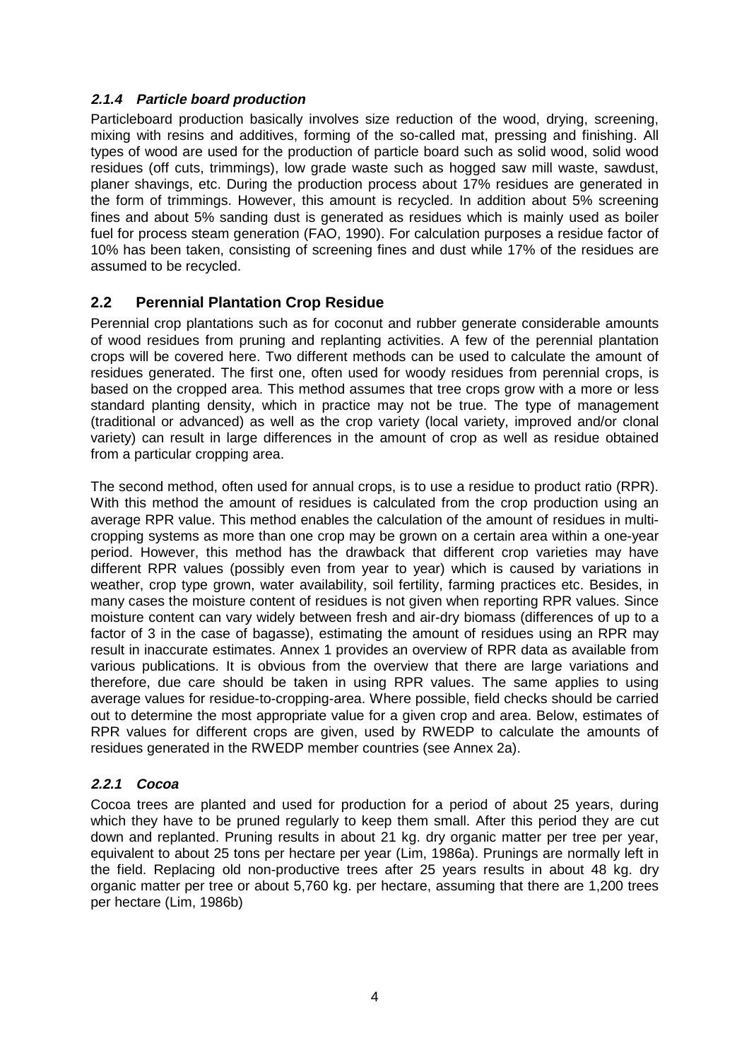### **2.1.4 Particle board production**

<span id="page-3-0"></span>Particleboard production basically involves size reduction of the wood, drying, screening, mixing with resins and additives, forming of the so-called mat, pressing and finishing. All types of wood are used for the production of particle board such as solid wood, solid wood residues (off cuts, trimmings), low grade waste such as hogged saw mill waste, sawdust, planer shavings, etc. During the production process about 17% residues are generated in the form of trimmings. However, this amount is recycled. In addition about 5% screening fines and about 5% sanding dust is generated as residues which is mainly used as boiler fuel for process steam generation (FAO, 1990). For calculation purposes a residue factor of 10% has been taken, consisting of screening fines and dust while 17% of the residues are assumed to be recycled.

### **2.2 Perennial Plantation Crop Residue**

Perennial crop plantations such as for coconut and rubber generate considerable amounts of wood residues from pruning and replanting activities. A few of the perennial plantation crops will be covered here. Two different methods can be used to calculate the amount of residues generated. The first one, often used for woody residues from perennial crops, is based on the cropped area. This method assumes that tree crops grow with a more or less standard planting density, which in practice may not be true. The type of management (traditional or advanced) as well as the crop variety (local variety, improved and/or clonal variety) can result in large differences in the amount of crop as well as residue obtained from a particular cropping area.

The second method, often used for annual crops, is to use a residue to product ratio (RPR). With this method the amount of residues is calculated from the crop production using an average RPR value. This method enables the calculation of the amount of residues in multicropping systems as more than one crop may be grown on a certain area within a one-year period. However, this method has the drawback that different crop varieties may have different RPR values (possibly even from year to year) which is caused by variations in weather, crop type grown, water availability, soil fertility, farming practices etc. Besides, in many cases the moisture content of residues is not given when reporting RPR values. Since moisture content can vary widely between fresh and air-dry biomass (differences of up to a factor of 3 in the case of bagasse), estimating the amount of residues using an RPR may result in inaccurate estimates[. Annex 1 p](#page-15-1)rovides an overview of RPR data as available from various publications. It is obvious from the overview that there are large variations and therefore, due care should be taken in using RPR values. The same applies to using average values for residue-to-cropping-area. Where possible, field checks should be carried out to determine the most appropriate value for a given crop and area. Below, estimates of RPR values for different crops are given, used by RWEDP to calculate the amounts of residues generated in the RWEDP member countries [\(see Annex 2a\).](#page-20-0)

### **2.2.1 Cocoa**

Cocoa trees are planted and used for production for a period of about 25 years, during which they have to be pruned regularly to keep them small. After this period they are cut down and replanted. Pruning results in about 21 kg. dry organic matter per tree per year, equivalent to about 25 tons per hectare per year (Lim, 1986a). Prunings are normally left in the field. Replacing old non-productive trees after 25 years results in about 48 kg. dry organic matter per tree or about 5,760 kg. per hectare, assuming that there are 1,200 trees per hectare (Lim, 1986b)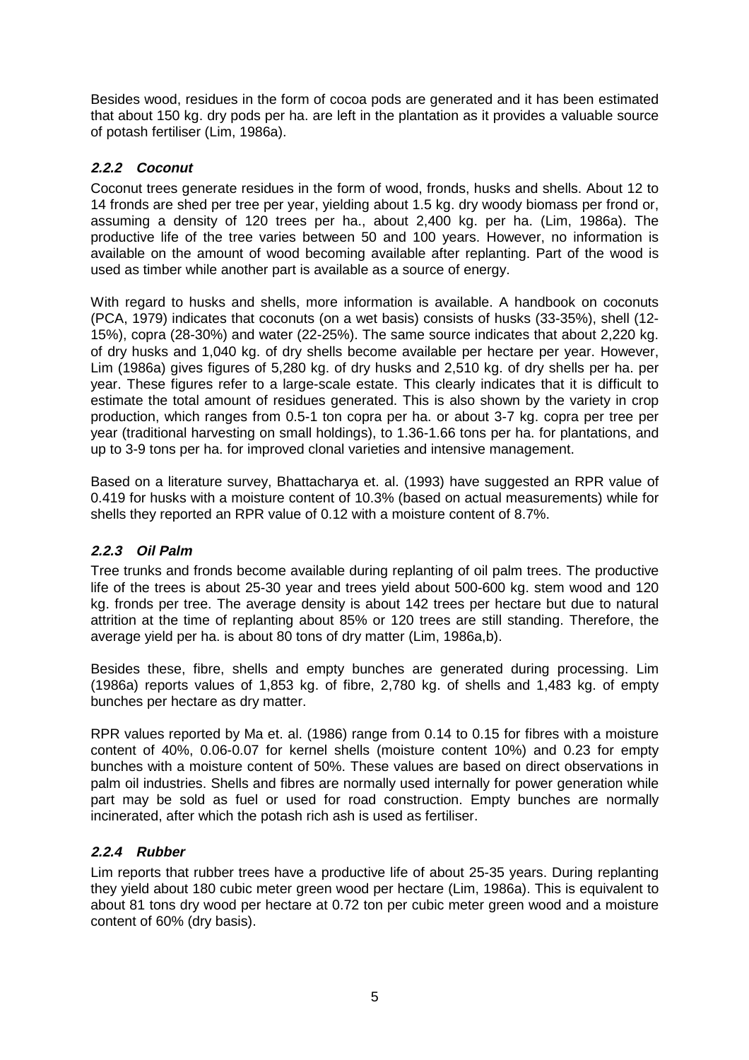Besides wood, residues in the form of cocoa pods are generated and it has been estimated that about 150 kg. dry pods per ha. are left in the plantation as it provides a valuable source of potash fertiliser (Lim, 1986a).

### **2.2.2 Coconut**

Coconut trees generate residues in the form of wood, fronds, husks and shells. About 12 to 14 fronds are shed per tree per year, yielding about 1.5 kg. dry woody biomass per frond or, assuming a density of 120 trees per ha., about 2,400 kg. per ha. (Lim, 1986a). The productive life of the tree varies between 50 and 100 years. However, no information is available on the amount of wood becoming available after replanting. Part of the wood is used as timber while another part is available as a source of energy.

With regard to husks and shells, more information is available. A handbook on coconuts (PCA, 1979) indicates that coconuts (on a wet basis) consists of husks (33-35%), shell (12- 15%), copra (28-30%) and water (22-25%). The same source indicates that about 2,220 kg. of dry husks and 1,040 kg. of dry shells become available per hectare per year. However, Lim (1986a) gives figures of 5,280 kg. of dry husks and 2,510 kg. of dry shells per ha. per year. These figures refer to a large-scale estate. This clearly indicates that it is difficult to estimate the total amount of residues generated. This is also shown by the variety in crop production, which ranges from 0.5-1 ton copra per ha. or about 3-7 kg. copra per tree per year (traditional harvesting on small holdings), to 1.36-1.66 tons per ha. for plantations, and up to 3-9 tons per ha. for improved clonal varieties and intensive management.

Based on a literature survey, Bhattacharya et. al. (1993) have suggested an RPR value of 0.419 for husks with a moisture content of 10.3% (based on actual measurements) while for shells they reported an RPR value of 0.12 with a moisture content of 8.7%.

#### **2.2.3 Oil Palm**

Tree trunks and fronds become available during replanting of oil palm trees. The productive life of the trees is about 25-30 year and trees yield about 500-600 kg. stem wood and 120 kg. fronds per tree. The average density is about 142 trees per hectare but due to natural attrition at the time of replanting about 85% or 120 trees are still standing. Therefore, the average yield per ha. is about 80 tons of dry matter (Lim, 1986a,b).

Besides these, fibre, shells and empty bunches are generated during processing. Lim (1986a) reports values of 1,853 kg. of fibre, 2,780 kg. of shells and 1,483 kg. of empty bunches per hectare as dry matter.

RPR values reported by Ma et. al. (1986) range from 0.14 to 0.15 for fibres with a moisture content of 40%, 0.06-0.07 for kernel shells (moisture content 10%) and 0.23 for empty bunches with a moisture content of 50%. These values are based on direct observations in palm oil industries. Shells and fibres are normally used internally for power generation while part may be sold as fuel or used for road construction. Empty bunches are normally incinerated, after which the potash rich ash is used as fertiliser.

#### **2.2.4 Rubber**

Lim reports that rubber trees have a productive life of about 25-35 years. During replanting they yield about 180 cubic meter green wood per hectare (Lim, 1986a). This is equivalent to about 81 tons dry wood per hectare at 0.72 ton per cubic meter green wood and a moisture content of 60% (dry basis).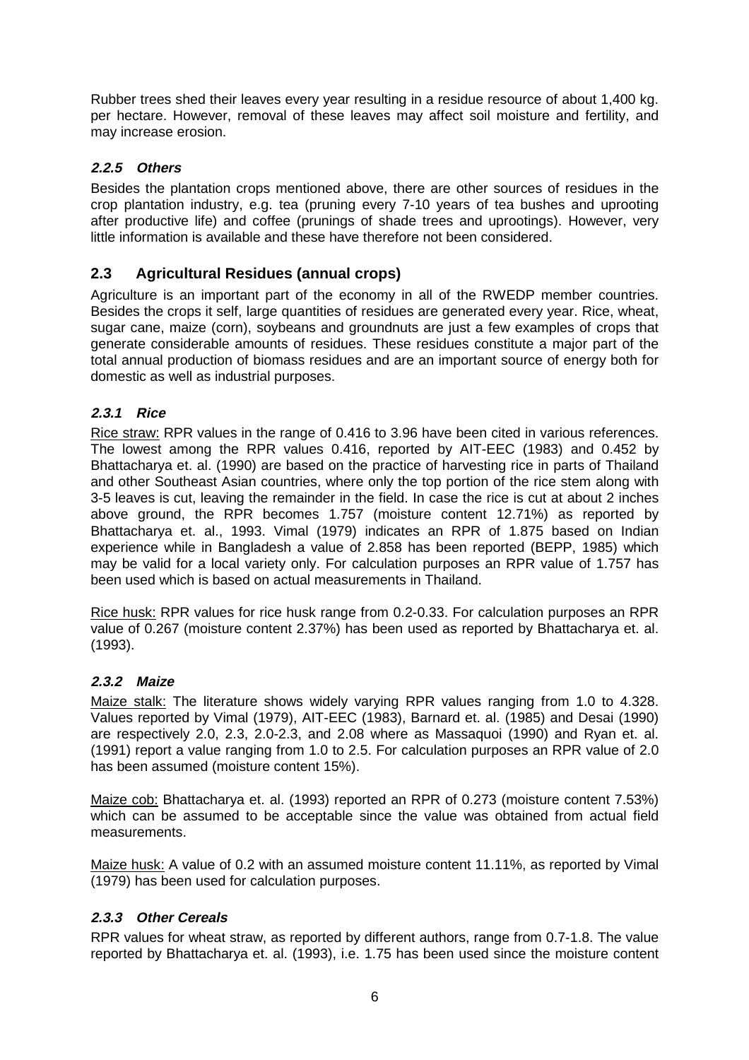Rubber trees shed their leaves every year resulting in a residue resource of about 1,400 kg. per hectare. However, removal of these leaves may affect soil moisture and fertility, and may increase erosion.

### <span id="page-5-0"></span>**2.2.5 Others**

Besides the plantation crops mentioned above, there are other sources of residues in the crop plantation industry, e.g. tea (pruning every 7-10 years of tea bushes and uprooting after productive life) and coffee (prunings of shade trees and uprootings). However, very little information is available and these have therefore not been considered.

### **2.3 Agricultural Residues (annual crops)**

Agriculture is an important part of the economy in all of the RWEDP member countries. Besides the crops it self, large quantities of residues are generated every year. Rice, wheat, sugar cane, maize (corn), soybeans and groundnuts are just a few examples of crops that generate considerable amounts of residues. These residues constitute a major part of the total annual production of biomass residues and are an important source of energy both for domestic as well as industrial purposes.

### **2.3.1 Rice**

Rice straw: RPR values in the range of 0.416 to 3.96 have been cited in various references. The lowest among the RPR values 0.416, reported by AIT-EEC (1983) and 0.452 by Bhattacharya et. al. (1990) are based on the practice of harvesting rice in parts of Thailand and other Southeast Asian countries, where only the top portion of the rice stem along with 3-5 leaves is cut, leaving the remainder in the field. In case the rice is cut at about 2 inches above ground, the RPR becomes 1.757 (moisture content 12.71%) as reported by Bhattacharya et. al., 1993. Vimal (1979) indicates an RPR of 1.875 based on Indian experience while in Bangladesh a value of 2.858 has been reported (BEPP, 1985) which may be valid for a local variety only. For calculation purposes an RPR value of 1.757 has been used which is based on actual measurements in Thailand.

Rice husk: RPR values for rice husk range from 0.2-0.33. For calculation purposes an RPR value of 0.267 (moisture content 2.37%) has been used as reported by Bhattacharya et. al. (1993).

### **2.3.2 Maize**

Maize stalk: The literature shows widely varying RPR values ranging from 1.0 to 4.328. Values reported by Vimal (1979), AIT-EEC (1983), Barnard et. al. (1985) and Desai (1990) are respectively 2.0, 2.3, 2.0-2.3, and 2.08 where as Massaquoi (1990) and Ryan et. al. (1991) report a value ranging from 1.0 to 2.5. For calculation purposes an RPR value of 2.0 has been assumed (moisture content 15%).

Maize cob: Bhattacharya et. al. (1993) reported an RPR of 0.273 (moisture content 7.53%) which can be assumed to be acceptable since the value was obtained from actual field measurements.

Maize husk: A value of 0.2 with an assumed moisture content 11.11%, as reported by Vimal (1979) has been used for calculation purposes.

### **2.3.3 Other Cereals**

RPR values for wheat straw, as reported by different authors, range from 0.7-1.8. The value reported by Bhattacharya et. al. (1993), i.e. 1.75 has been used since the moisture content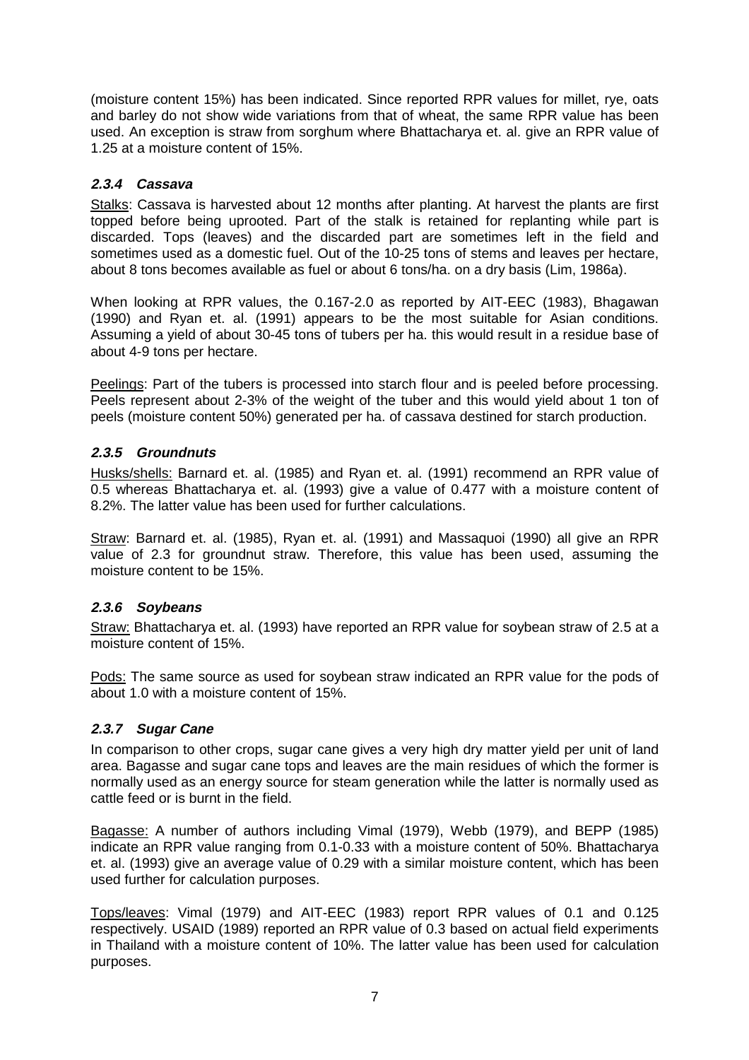(moisture content 15%) has been indicated. Since reported RPR values for millet, rye, oats and barley do not show wide variations from that of wheat, the same RPR value has been used. An exception is straw from sorghum where Bhattacharya et. al. give an RPR value of 1.25 at a moisture content of 15%.

#### **2.3.4 Cassava**

Stalks: Cassava is harvested about 12 months after planting. At harvest the plants are first topped before being uprooted. Part of the stalk is retained for replanting while part is discarded. Tops (leaves) and the discarded part are sometimes left in the field and sometimes used as a domestic fuel. Out of the 10-25 tons of stems and leaves per hectare, about 8 tons becomes available as fuel or about 6 tons/ha. on a dry basis (Lim, 1986a).

When looking at RPR values, the 0.167-2.0 as reported by AIT-EEC (1983), Bhagawan (1990) and Ryan et. al. (1991) appears to be the most suitable for Asian conditions. Assuming a yield of about 30-45 tons of tubers per ha. this would result in a residue base of about 4-9 tons per hectare.

Peelings: Part of the tubers is processed into starch flour and is peeled before processing. Peels represent about 2-3% of the weight of the tuber and this would yield about 1 ton of peels (moisture content 50%) generated per ha. of cassava destined for starch production.

#### **2.3.5 Groundnuts**

Husks/shells: Barnard et. al. (1985) and Ryan et. al. (1991) recommend an RPR value of 0.5 whereas Bhattacharya et. al. (1993) give a value of 0.477 with a moisture content of 8.2%. The latter value has been used for further calculations.

Straw: Barnard et. al. (1985), Ryan et. al. (1991) and Massaquoi (1990) all give an RPR value of 2.3 for groundnut straw. Therefore, this value has been used, assuming the moisture content to be 15%.

#### **2.3.6 Soybeans**

Straw: Bhattacharya et. al. (1993) have reported an RPR value for soybean straw of 2.5 at a moisture content of 15%.

Pods: The same source as used for soybean straw indicated an RPR value for the pods of about 1.0 with a moisture content of 15%.

#### **2.3.7 Sugar Cane**

In comparison to other crops, sugar cane gives a very high dry matter yield per unit of land area. Bagasse and sugar cane tops and leaves are the main residues of which the former is normally used as an energy source for steam generation while the latter is normally used as cattle feed or is burnt in the field.

Bagasse: A number of authors including Vimal (1979), Webb (1979), and BEPP (1985) indicate an RPR value ranging from 0.1-0.33 with a moisture content of 50%. Bhattacharya et. al. (1993) give an average value of 0.29 with a similar moisture content, which has been used further for calculation purposes.

Tops/leaves: Vimal (1979) and AIT-EEC (1983) report RPR values of 0.1 and 0.125 respectively. USAID (1989) reported an RPR value of 0.3 based on actual field experiments in Thailand with a moisture content of 10%. The latter value has been used for calculation purposes.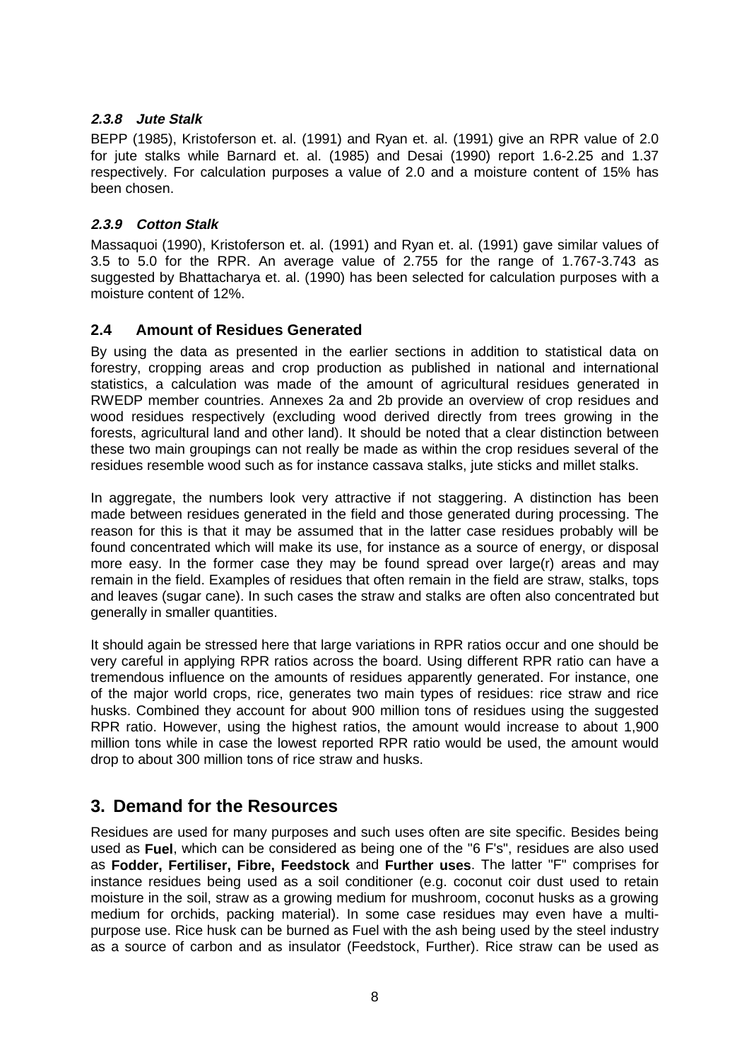### **2.3.8 Jute Stalk**

<span id="page-7-1"></span>BEPP (1985), Kristoferson et. al. (1991) and Ryan et. al. (1991) give an RPR value of 2.0 for jute stalks while Barnard et. al. (1985) and Desai (1990) report 1.6-2.25 and 1.37 respectively. For calculation purposes a value of 2.0 and a moisture content of 15% has been chosen.

### **2.3.9 Cotton Stalk**

<span id="page-7-0"></span>Massaquoi (1990), Kristoferson et. al. (1991) and Ryan et. al. (1991) gave similar values of 3.5 to 5.0 for the RPR. An average value of 2.755 for the range of 1.767-3.743 as suggested by Bhattacharya et. al. (1990) has been selected for calculation purposes with a moisture content of 12%.

### **2.4 Amount of Residues Generated**

By using the data as presented in the earlier sections in addition to statistical data on forestry, cropping areas and crop production as published in national and international statistics, a calculation was made of the amount of agricultural residues generated in RWEDP member countries. [Annexes 2a](#page-20-0) an[d 2b p](#page-21-0)rovide an overview of crop residues and wood residues respectively (excluding wood derived directly from trees growing in the forests, agricultural land and other land). It should be noted that a clear distinction between these two main groupings can not really be made as within the crop residues several of the residues resemble wood such as for instance cassava stalks, jute sticks and millet stalks.

In aggregate, the numbers look very attractive if not staggering. A distinction has been made between residues generated in the field and those generated during processing. The reason for this is that it may be assumed that in the latter case residues probably will be found concentrated which will make its use, for instance as a source of energy, or disposal more easy. In the former case they may be found spread over large(r) areas and may remain in the field. Examples of residues that often remain in the field are straw, stalks, tops and leaves (sugar cane). In such cases the straw and stalks are often also concentrated but generally in smaller quantities.

It should again be stressed here that large variations in RPR ratios occur and one should be very careful in applying RPR ratios across the board. Using different RPR ratio can have a tremendous influence on the amounts of residues apparently generated. For instance, one of the major world crops, rice, generates two main types of residues: rice straw and rice husks. Combined they account for about 900 million tons of residues using the suggested RPR ratio. However, using the highest ratios, the amount would increase to about 1,900 million tons while in case the lowest reported RPR ratio would be used, the amount would drop to about 300 million tons of rice straw and husks.

## **3. Demand for the Resources**

Residues are used for many purposes and such uses often are site specific. Besides being used as **Fuel**, which can be considered as being one of the "6 F's", residues are also used as **Fodder, Fertiliser, Fibre, Feedstock** and **Further uses**. The latter "F" comprises for instance residues being used as a soil conditioner (e.g. coconut coir dust used to retain moisture in the soil, straw as a growing medium for mushroom, coconut husks as a growing medium for orchids, packing material). In some case residues may even have a multipurpose use. Rice husk can be burned as Fuel with the ash being used by the steel industry as a source of carbon and as insulator (Feedstock, Further). Rice straw can be used as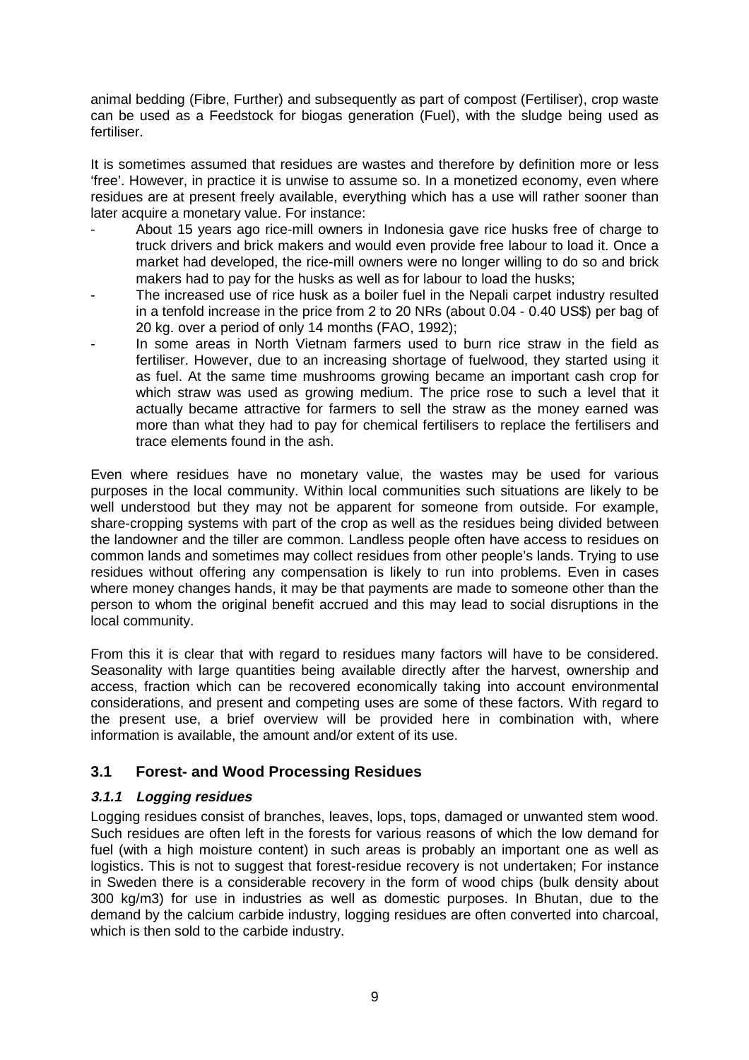animal bedding (Fibre, Further) and subsequently as part of compost (Fertiliser), crop waste can be used as a Feedstock for biogas generation (Fuel), with the sludge being used as fertiliser.

It is sometimes assumed that residues are wastes and therefore by definition more or less 'free'. However, in practice it is unwise to assume so. In a monetized economy, even where residues are at present freely available, everything which has a use will rather sooner than later acquire a monetary value. For instance:

- About 15 years ago rice-mill owners in Indonesia gave rice husks free of charge to truck drivers and brick makers and would even provide free labour to load it. Once a market had developed, the rice-mill owners were no longer willing to do so and brick makers had to pay for the husks as well as for labour to load the husks;
- <span id="page-8-0"></span>The increased use of rice husk as a boiler fuel in the Nepali carpet industry resulted in a tenfold increase in the price from 2 to 20 NRs (about 0.04 - 0.40 US\$) per bag of 20 kg. over a period of only 14 months (FAO, 1992);
- In some areas in North Vietnam farmers used to burn rice straw in the field as fertiliser. However, due to an increasing shortage of fuelwood, they started using it as fuel. At the same time mushrooms growing became an important cash crop for which straw was used as growing medium. The price rose to such a level that it actually became attractive for farmers to sell the straw as the money earned was more than what they had to pay for chemical fertilisers to replace the fertilisers and trace elements found in the ash.

Even where residues have no monetary value, the wastes may be used for various purposes in the local community. Within local communities such situations are likely to be well understood but they may not be apparent for someone from outside. For example, share-cropping systems with part of the crop as well as the residues being divided between the landowner and the tiller are common. Landless people often have access to residues on common lands and sometimes may collect residues from other people's lands. Trying to use residues without offering any compensation is likely to run into problems. Even in cases where money changes hands, it may be that payments are made to someone other than the person to whom the original benefit accrued and this may lead to social disruptions in the local community.

From this it is clear that with regard to residues many factors will have to be considered. Seasonality with large quantities being available directly after the harvest, ownership and access, fraction which can be recovered economically taking into account environmental considerations, and present and competing uses are some of these factors. With regard to the present use, a brief overview will be provided here in combination with, where information is available, the amount and/or extent of its use.

### **3.1 Forest- and Wood Processing Residues**

### **3.1.1 Logging residues**

Logging residues consist of branches, leaves, lops, tops, damaged or unwanted stem wood. Such residues are often left in the forests for various reasons of which the low demand for fuel (with a high moisture content) in such areas is probably an important one as well as logistics. This is not to suggest that forest-residue recovery is not undertaken; For instance in Sweden there is a considerable recovery in the form of wood chips (bulk density about 300 kg/m3) for use in industries as well as domestic purposes. In Bhutan, due to the demand by the calcium carbide industry, logging residues are often converted into charcoal, which is then sold to the carbide industry.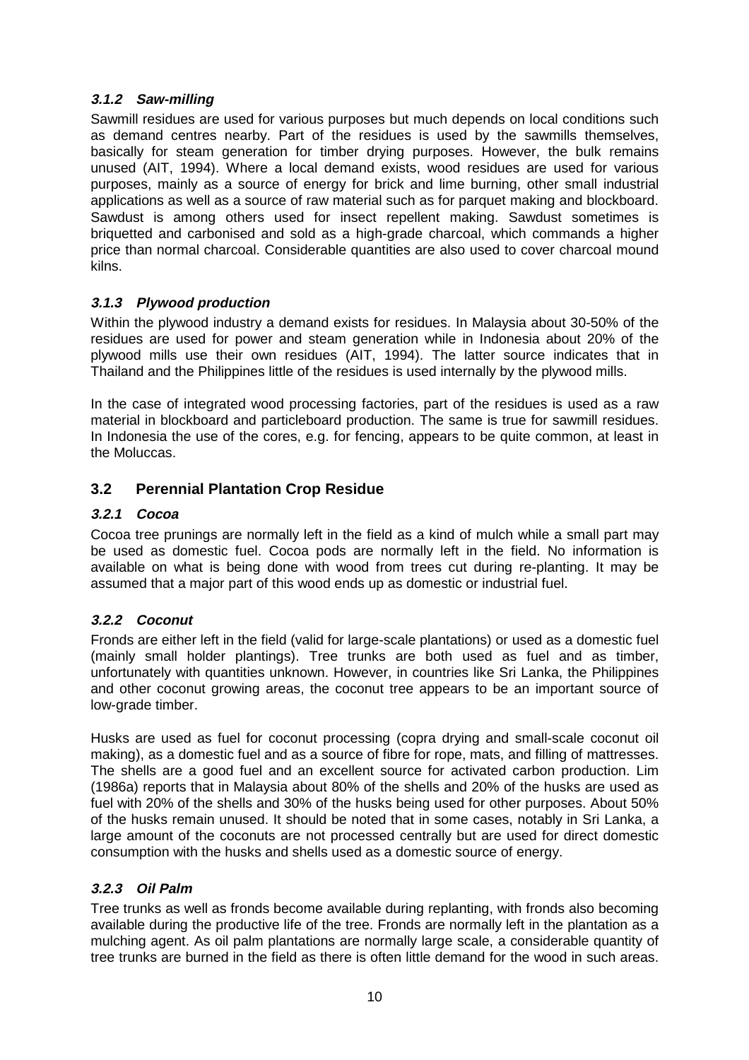### **3.1.2 Saw-milling**

Sawmill residues are used for various purposes but much depends on local conditions such as demand centres nearby. Part of the residues is used by the sawmills themselves, basically for steam generation for timber drying purposes. However, the bulk remains unused (AIT, 1994). Where a local demand exists, wood residues are used for various purposes, mainly as a source of energy for brick and lime burning, other small industrial applications as well as a source of raw material such as for parquet making and blockboard. Sawdust is among others used for insect repellent making. Sawdust sometimes is briquetted and carbonised and sold as a high-grade charcoal, which commands a higher price than normal charcoal. Considerable quantities are also used to cover charcoal mound kilns.

### <span id="page-9-0"></span>**3.1.3 Plywood production**

Within the plywood industry a demand exists for residues. In Malaysia about 30-50% of the residues are used for power and steam generation while in Indonesia about 20% of the plywood mills use their own residues (AIT, 1994). The latter source indicates that in Thailand and the Philippines little of the residues is used internally by the plywood mills.

In the case of integrated wood processing factories, part of the residues is used as a raw material in blockboard and particleboard production. The same is true for sawmill residues. In Indonesia the use of the cores, e.g. for fencing, appears to be quite common, at least in the Moluccas.

### **3.2 Perennial Plantation Crop Residue**

#### **3.2.1 Cocoa**

Cocoa tree prunings are normally left in the field as a kind of mulch while a small part may be used as domestic fuel. Cocoa pods are normally left in the field. No information is available on what is being done with wood from trees cut during re-planting. It may be assumed that a major part of this wood ends up as domestic or industrial fuel.

### **3.2.2 Coconut**

Fronds are either left in the field (valid for large-scale plantations) or used as a domestic fuel (mainly small holder plantings). Tree trunks are both used as fuel and as timber, unfortunately with quantities unknown. However, in countries like Sri Lanka, the Philippines and other coconut growing areas, the coconut tree appears to be an important source of low-grade timber.

Husks are used as fuel for coconut processing (copra drying and small-scale coconut oil making), as a domestic fuel and as a source of fibre for rope, mats, and filling of mattresses. The shells are a good fuel and an excellent source for activated carbon production. Lim (1986a) reports that in Malaysia about 80% of the shells and 20% of the husks are used as fuel with 20% of the shells and 30% of the husks being used for other purposes. About 50% of the husks remain unused. It should be noted that in some cases, notably in Sri Lanka, a large amount of the coconuts are not processed centrally but are used for direct domestic consumption with the husks and shells used as a domestic source of energy.

### **3.2.3 Oil Palm**

Tree trunks as well as fronds become available during replanting, with fronds also becoming available during the productive life of the tree. Fronds are normally left in the plantation as a mulching agent. As oil palm plantations are normally large scale, a considerable quantity of tree trunks are burned in the field as there is often little demand for the wood in such areas.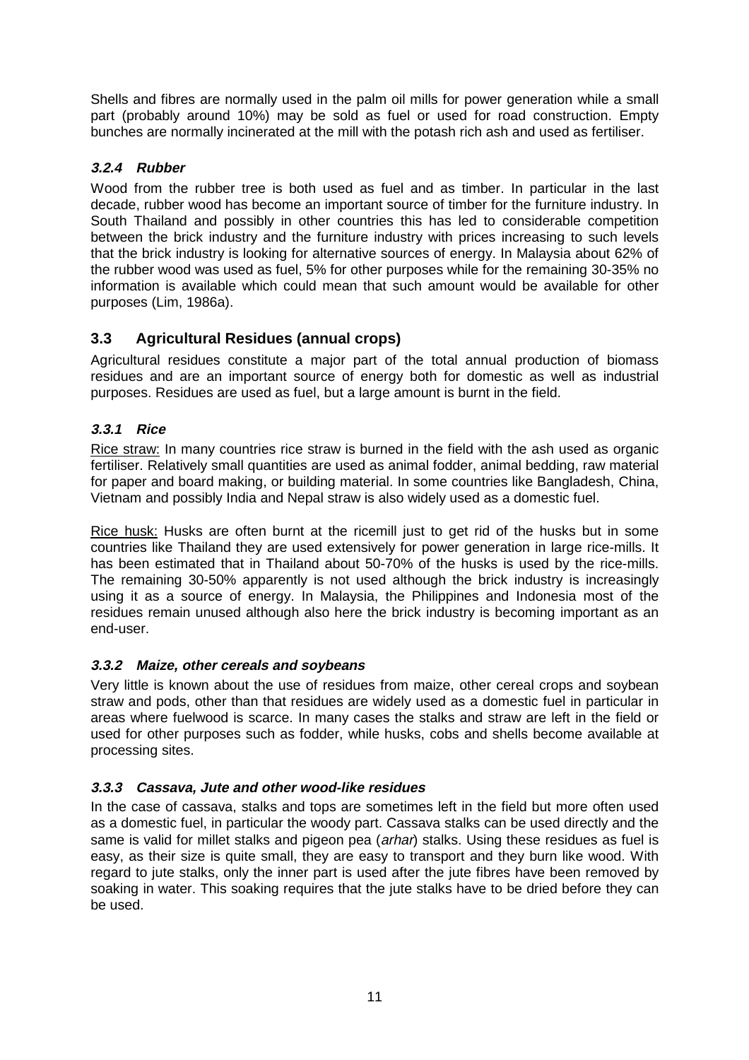<span id="page-10-0"></span>Shells and fibres are normally used in the palm oil mills for power generation while a small part (probably around 10%) may be sold as fuel or used for road construction. Empty bunches are normally incinerated at the mill with the potash rich ash and used as fertiliser.

### **3.2.4 Rubber**

Wood from the rubber tree is both used as fuel and as timber. In particular in the last decade, rubber wood has become an important source of timber for the furniture industry. In South Thailand and possibly in other countries this has led to considerable competition between the brick industry and the furniture industry with prices increasing to such levels that the brick industry is looking for alternative sources of energy. In Malaysia about 62% of the rubber wood was used as fuel, 5% for other purposes while for the remaining 30-35% no information is available which could mean that such amount would be available for other purposes (Lim, 1986a).

### **3.3 Agricultural Residues (annual crops)**

Agricultural residues constitute a major part of the total annual production of biomass residues and are an important source of energy both for domestic as well as industrial purposes. Residues are used as fuel, but a large amount is burnt in the field.

### **3.3.1 Rice**

Rice straw: In many countries rice straw is burned in the field with the ash used as organic fertiliser. Relatively small quantities are used as animal fodder, animal bedding, raw material for paper and board making, or building material. In some countries like Bangladesh, China, Vietnam and possibly India and Nepal straw is also widely used as a domestic fuel.

Rice husk: Husks are often burnt at the ricemill just to get rid of the husks but in some countries like Thailand they are used extensively for power generation in large rice-mills. It has been estimated that in Thailand about 50-70% of the husks is used by the rice-mills. The remaining 30-50% apparently is not used although the brick industry is increasingly using it as a source of energy. In Malaysia, the Philippines and Indonesia most of the residues remain unused although also here the brick industry is becoming important as an end-user.

### **3.3.2 Maize, other cereals and soybeans**

Very little is known about the use of residues from maize, other cereal crops and soybean straw and pods, other than that residues are widely used as a domestic fuel in particular in areas where fuelwood is scarce. In many cases the stalks and straw are left in the field or used for other purposes such as fodder, while husks, cobs and shells become available at processing sites.

### **3.3.3 Cassava, Jute and other wood-like residues**

In the case of cassava, stalks and tops are sometimes left in the field but more often used as a domestic fuel, in particular the woody part. Cassava stalks can be used directly and the same is valid for millet stalks and pigeon pea (arhar) stalks. Using these residues as fuel is easy, as their size is quite small, they are easy to transport and they burn like wood. With regard to jute stalks, only the inner part is used after the jute fibres have been removed by soaking in water. This soaking requires that the jute stalks have to be dried before they can be used.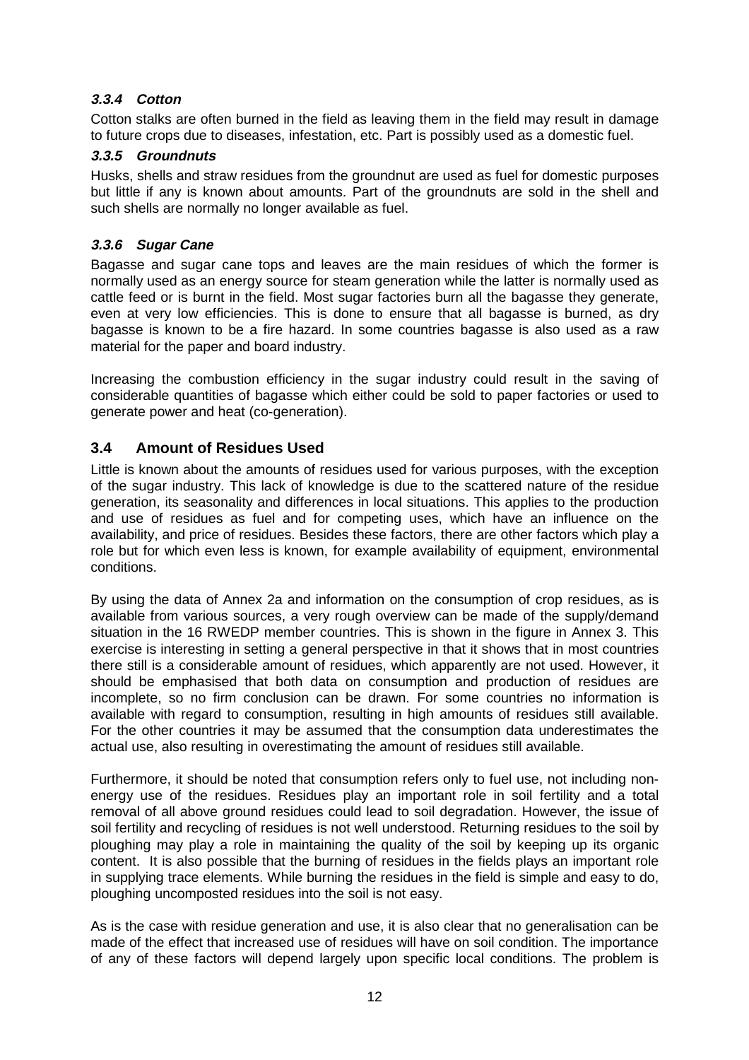### **3.3.4 Cotton**

Cotton stalks are often burned in the field as leaving them in the field may result in damage to future crops due to diseases, infestation, etc. Part is possibly used as a domestic fuel.

#### **3.3.5 Groundnuts**

Husks, shells and straw residues from the groundnut are used as fuel for domestic purposes but little if any is known about amounts. Part of the groundnuts are sold in the shell and such shells are normally no longer available as fuel.

### **3.3.6 Sugar Cane**

<span id="page-11-0"></span>Bagasse and sugar cane tops and leaves are the main residues of which the former is normally used as an energy source for steam generation while the latter is normally used as cattle feed or is burnt in the field. Most sugar factories burn all the bagasse they generate, even at very low efficiencies. This is done to ensure that all bagasse is burned, as dry bagasse is known to be a fire hazard. In some countries bagasse is also used as a raw material for the paper and board industry.

Increasing the combustion efficiency in the sugar industry could result in the saving of considerable quantities of bagasse which either could be sold to paper factories or used to generate power and heat (co-generation).

### **3.4 Amount of Residues Used**

Little is known about the amounts of residues used for various purposes, with the exception of the sugar industry. This lack of knowledge is due to the scattered nature of the residue generation, its seasonality and differences in local situations. This applies to the production and use of residues as fuel and for competing uses, which have an influence on the availability, and price of residues. Besides these factors, there are other factors which play a role but for which even less is known, for example availability of equipment, environmental conditions.

By using the data of [Annex 2a](#page-20-0) and information on the consumption of crop residues, as is available from various sources, a very rough overview can be made of the supply/demand situation in the 16 RWEDP member countries. This is shown in the figure i[n Annex 3. T](#page-22-1)his exercise is interesting in setting a general perspective in that it shows that in most countries there still is a considerable amount of residues, which apparently are not used. However, it should be emphasised that both data on consumption and production of residues are incomplete, so no firm conclusion can be drawn. For some countries no information is available with regard to consumption, resulting in high amounts of residues still available. For the other countries it may be assumed that the consumption data underestimates the actual use, also resulting in overestimating the amount of residues still available.

Furthermore, it should be noted that consumption refers only to fuel use, not including nonenergy use of the residues. Residues play an important role in soil fertility and a total removal of all above ground residues could lead to soil degradation. However, the issue of soil fertility and recycling of residues is not well understood. Returning residues to the soil by ploughing may play a role in maintaining the quality of the soil by keeping up its organic content. It is also possible that the burning of residues in the fields plays an important role in supplying trace elements. While burning the residues in the field is simple and easy to do, ploughing uncomposted residues into the soil is not easy.

As is the case with residue generation and use, it is also clear that no generalisation can be made of the effect that increased use of residues will have on soil condition. The importance of any of these factors will depend largely upon specific local conditions. The problem is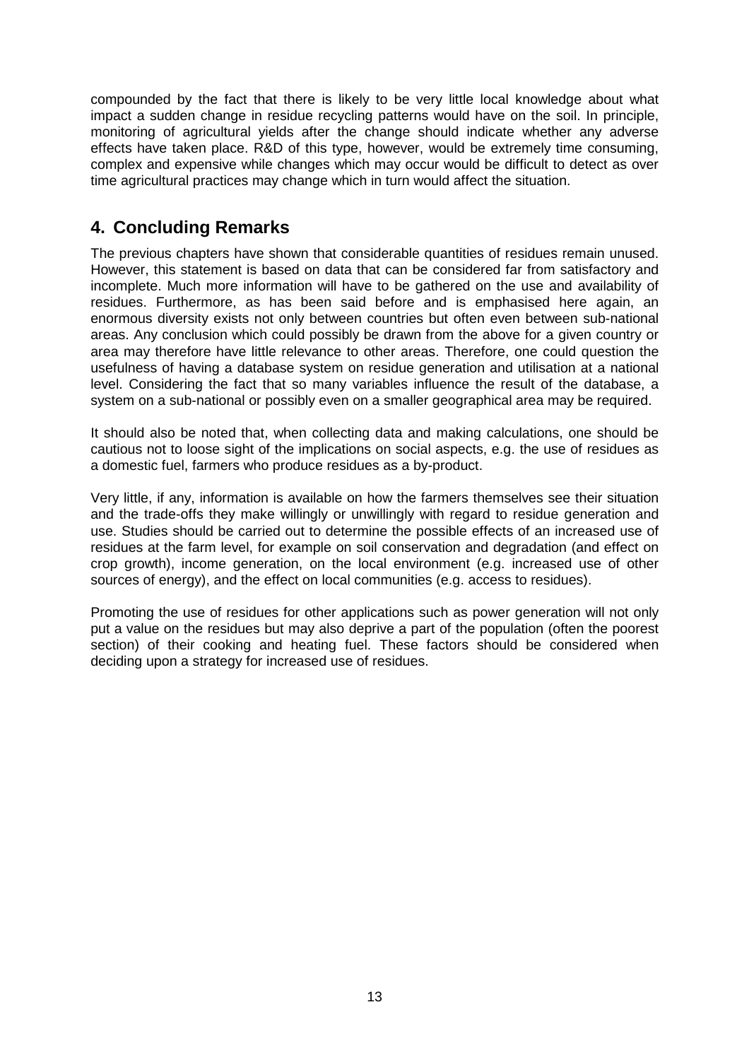<span id="page-12-0"></span>compounded by the fact that there is likely to be very little local knowledge about what impact a sudden change in residue recycling patterns would have on the soil. In principle, monitoring of agricultural yields after the change should indicate whether any adverse effects have taken place. R&D of this type, however, would be extremely time consuming, complex and expensive while changes which may occur would be difficult to detect as over time agricultural practices may change which in turn would affect the situation.

# **4. Concluding Remarks**

The previous chapters have shown that considerable quantities of residues remain unused. However, this statement is based on data that can be considered far from satisfactory and incomplete. Much more information will have to be gathered on the use and availability of residues. Furthermore, as has been said before and is emphasised here again, an enormous diversity exists not only between countries but often even between sub-national areas. Any conclusion which could possibly be drawn from the above for a given country or area may therefore have little relevance to other areas. Therefore, one could question the usefulness of having a database system on residue generation and utilisation at a national level. Considering the fact that so many variables influence the result of the database, a system on a sub-national or possibly even on a smaller geographical area may be required.

It should also be noted that, when collecting data and making calculations, one should be cautious not to loose sight of the implications on social aspects, e.g. the use of residues as a domestic fuel, farmers who produce residues as a by-product.

Very little, if any, information is available on how the farmers themselves see their situation and the trade-offs they make willingly or unwillingly with regard to residue generation and use. Studies should be carried out to determine the possible effects of an increased use of residues at the farm level, for example on soil conservation and degradation (and effect on crop growth), income generation, on the local environment (e.g. increased use of other sources of energy), and the effect on local communities (e.g. access to residues).

Promoting the use of residues for other applications such as power generation will not only put a value on the residues but may also deprive a part of the population (often the poorest section) of their cooking and heating fuel. These factors should be considered when deciding upon a strategy for increased use of residues.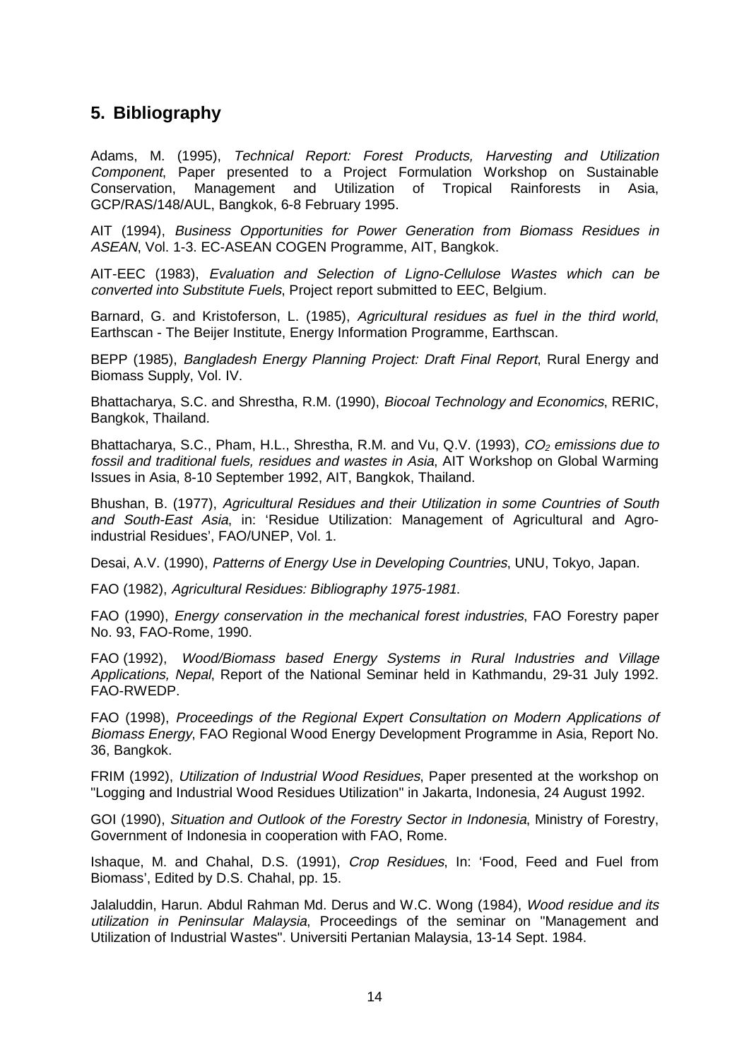# <span id="page-13-0"></span>**5. Bibliography**

Adams, M. (1995), Technical Report: Forest Products, Harvesting and Utilization Component, Paper presented to a Project Formulation Workshop on Sustainable Conservation, Management and Utilization of Tropical Rainforests in Asia, GCP/RAS/148/AUL, Bangkok, 6-8 February 1995.

AIT (1994), Business Opportunities for Power Generation from Biomass Residues in ASEAN, Vol. 1-3. EC-ASEAN COGEN Programme, AIT, Bangkok.

AIT-EEC (1983), Evaluation and Selection of Ligno-Cellulose Wastes which can be converted into Substitute Fuels, Project report submitted to EEC, Belgium.

Barnard, G. and Kristoferson, L. (1985), Agricultural residues as fuel in the third world, Earthscan - The Beijer Institute, Energy Information Programme, Earthscan.

BEPP (1985), Bangladesh Energy Planning Project: Draft Final Report, Rural Energy and Biomass Supply, Vol. IV.

Bhattacharya, S.C. and Shrestha, R.M. (1990), Biocoal Technology and Economics, RERIC, Bangkok, Thailand.

Bhattacharya, S.C., Pham, H.L., Shrestha, R.M. and Vu, Q.V. (1993),  $CO<sub>2</sub>$  emissions due to fossil and traditional fuels, residues and wastes in Asia, AIT Workshop on Global Warming Issues in Asia, 8-10 September 1992, AIT, Bangkok, Thailand.

Bhushan, B. (1977), Agricultural Residues and their Utilization in some Countries of South and South-East Asia, in: 'Residue Utilization: Management of Agricultural and Agroindustrial Residues', FAO/UNEP, Vol. 1.

Desai, A.V. (1990), Patterns of Energy Use in Developing Countries, UNU, Tokyo, Japan.

FAO (1982), Agricultural Residues: Bibliography 1975-1981.

FAO (1990), Energy conservation in the mechanical forest industries, FAO Forestry paper No. 93, FAO-Rome, 1990.

FAO (1992), Wood/Biomass based Energy Systems in Rural Industries and Village Applications, Nepal, Report of the National Seminar held in Kathmandu, 29-31 July 1992. FAO-RWEDP.

FAO (1998), Proceedings of the Regional Expert Consultation on Modern Applications of Biomass Energy, FAO Regional Wood Energy Development Programme in Asia, Report No. 36, Bangkok.

FRIM (1992), Utilization of Industrial Wood Residues, Paper presented at the workshop on "Logging and Industrial Wood Residues Utilization" in Jakarta, Indonesia, 24 August 1992.

GOI (1990), Situation and Outlook of the Forestry Sector in Indonesia, Ministry of Forestry, Government of Indonesia in cooperation with FAO, Rome.

Ishaque, M. and Chahal, D.S. (1991), Crop Residues, In: 'Food, Feed and Fuel from Biomass', Edited by D.S. Chahal, pp. 15.

Jalaluddin, Harun. Abdul Rahman Md. Derus and W.C. Wong (1984), Wood residue and its utilization in Peninsular Malaysia, Proceedings of the seminar on "Management and Utilization of Industrial Wastes". Universiti Pertanian Malaysia, 13-14 Sept. 1984.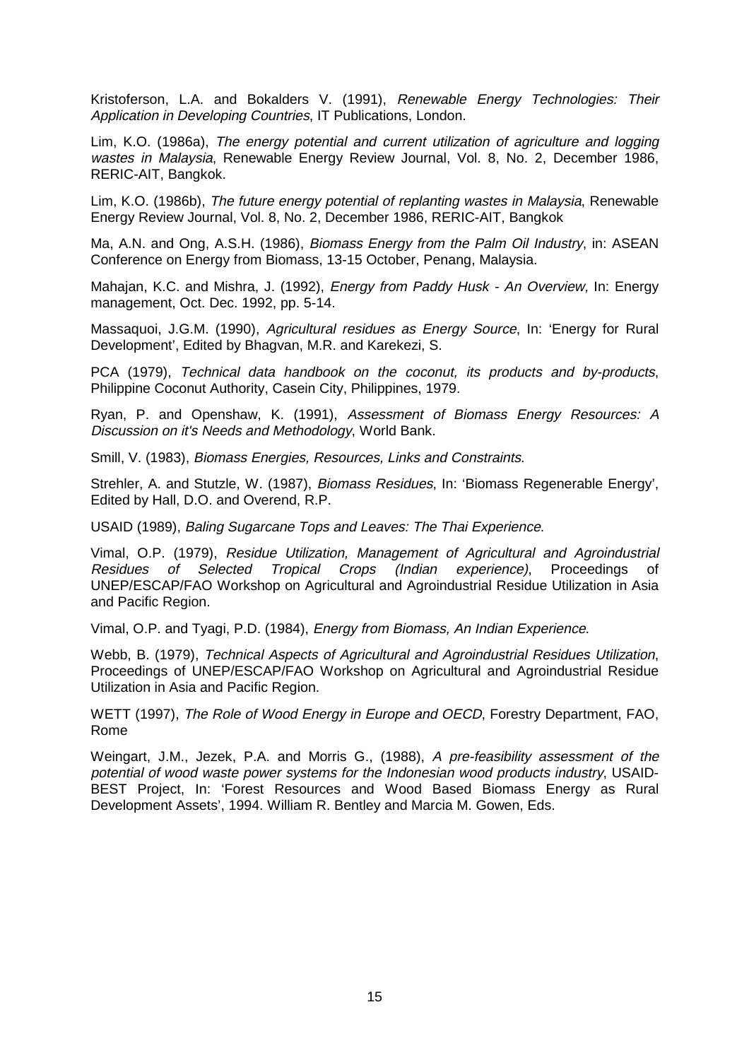Kristoferson, L.A. and Bokalders V. (1991), Renewable Energy Technologies: Their Application in Developing Countries, IT Publications, London.

Lim, K.O. (1986a), The energy potential and current utilization of agriculture and logging wastes in Malaysia, Renewable Energy Review Journal, Vol. 8, No. 2, December 1986, RERIC-AIT, Bangkok.

Lim, K.O. (1986b), The future energy potential of replanting wastes in Malaysia, Renewable Energy Review Journal, Vol. 8, No. 2, December 1986, RERIC-AIT, Bangkok

Ma, A.N. and Ong, A.S.H. (1986), Biomass Energy from the Palm Oil Industry, in: ASEAN Conference on Energy from Biomass, 13-15 October, Penang, Malaysia.

Mahajan, K.C. and Mishra, J. (1992), Energy from Paddy Husk - An Overview, In: Energy management, Oct. Dec. 1992, pp. 5-14.

Massaquoi, J.G.M. (1990), Agricultural residues as Energy Source, In: 'Energy for Rural Development', Edited by Bhagvan, M.R. and Karekezi, S.

PCA (1979), Technical data handbook on the coconut, its products and by-products, Philippine Coconut Authority, Casein City, Philippines, 1979.

Ryan, P. and Openshaw, K. (1991), Assessment of Biomass Energy Resources: A Discussion on it's Needs and Methodology, World Bank.

Smill, V. (1983), Biomass Energies, Resources, Links and Constraints.

Strehler, A. and Stutzle, W. (1987), Biomass Residues, In: 'Biomass Regenerable Energy', Edited by Hall, D.O. and Overend, R.P.

USAID (1989), Baling Sugarcane Tops and Leaves: The Thai Experience.

Vimal, O.P. (1979), Residue Utilization, Management of Agricultural and Agroindustrial Residues of Selected Tropical Crops (Indian experience), Proceedings of UNEP/ESCAP/FAO Workshop on Agricultural and Agroindustrial Residue Utilization in Asia and Pacific Region.

Vimal, O.P. and Tyagi, P.D. (1984), Energy from Biomass, An Indian Experience.

Webb, B. (1979), Technical Aspects of Agricultural and Agroindustrial Residues Utilization, Proceedings of UNEP/ESCAP/FAO Workshop on Agricultural and Agroindustrial Residue Utilization in Asia and Pacific Region.

WETT (1997), The Role of Wood Energy in Europe and OECD, Forestry Department, FAO, Rome

Weingart, J.M., Jezek, P.A. and Morris G., (1988), A pre-feasibility assessment of the potential of wood waste power systems for the Indonesian wood products industry, USAID-BEST Project, In: 'Forest Resources and Wood Based Biomass Energy as Rural Development Assets', 1994. William R. Bentley and Marcia M. Gowen, Eds.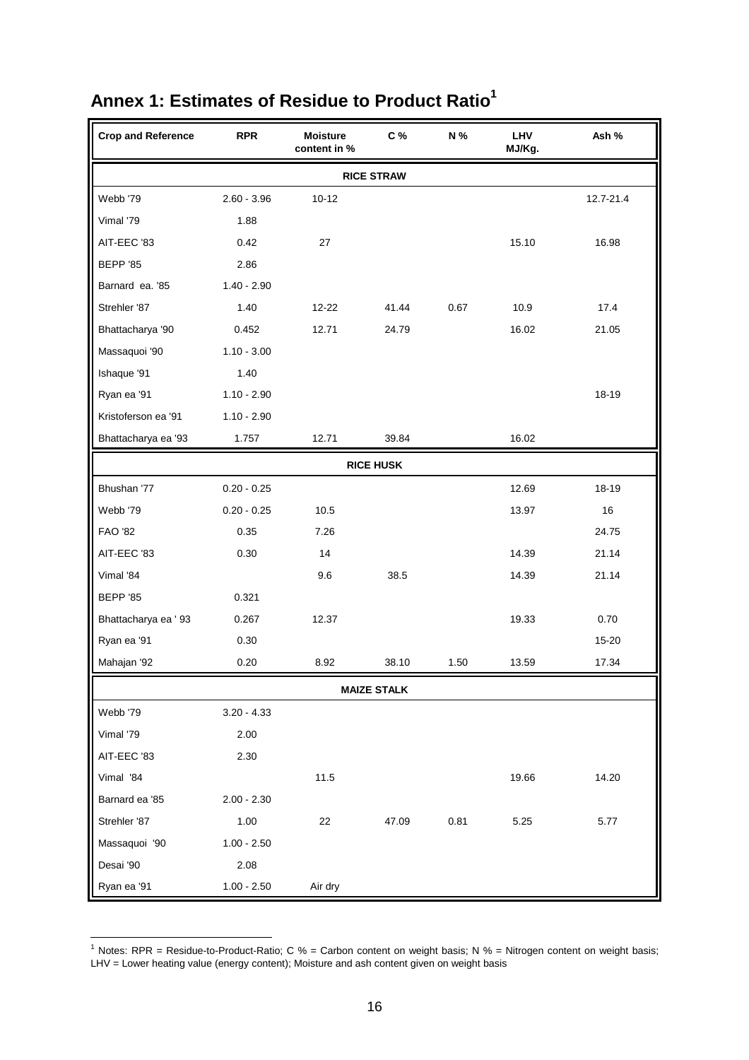| <b>Crop and Reference</b> | <b>RPR</b>    | <b>Moisture</b><br>content in % | C %                | N %  | LHV<br>MJ/Kg. | Ash %     |
|---------------------------|---------------|---------------------------------|--------------------|------|---------------|-----------|
|                           |               |                                 | <b>RICE STRAW</b>  |      |               |           |
| Webb '79                  | $2.60 - 3.96$ | $10 - 12$                       |                    |      |               | 12.7-21.4 |
| Vimal '79                 | 1.88          |                                 |                    |      |               |           |
| AIT-EEC '83               | 0.42          | 27                              |                    |      | 15.10         | 16.98     |
| <b>BEPP '85</b>           | 2.86          |                                 |                    |      |               |           |
| Barnard ea. '85           | $1.40 - 2.90$ |                                 |                    |      |               |           |
| Strehler '87              | 1.40          | $12 - 22$                       | 41.44              | 0.67 | 10.9          | 17.4      |
| Bhattacharya '90          | 0.452         | 12.71                           | 24.79              |      | 16.02         | 21.05     |
| Massaquoi '90             | $1.10 - 3.00$ |                                 |                    |      |               |           |
| Ishaque '91               | 1.40          |                                 |                    |      |               |           |
| Ryan ea '91               | $1.10 - 2.90$ |                                 |                    |      |               | 18-19     |
| Kristoferson ea '91       | $1.10 - 2.90$ |                                 |                    |      |               |           |
| Bhattacharya ea '93       | 1.757         | 12.71                           | 39.84              |      | 16.02         |           |
|                           |               |                                 | <b>RICE HUSK</b>   |      |               |           |
| Bhushan '77               | $0.20 - 0.25$ |                                 |                    |      | 12.69         | 18-19     |
| Webb '79                  | $0.20 - 0.25$ | 10.5                            |                    |      | 13.97         | 16        |
| <b>FAO '82</b>            | 0.35          | 7.26                            |                    |      |               | 24.75     |
| AIT-EEC '83               | 0.30          | 14                              |                    |      | 14.39         | 21.14     |
| Vimal '84                 |               | 9.6                             | 38.5               |      | 14.39         | 21.14     |
| <b>BEPP '85</b>           | 0.321         |                                 |                    |      |               |           |
| Bhattacharya ea ' 93      | 0.267         | 12.37                           |                    |      | 19.33         | 0.70      |
| Ryan ea '91               | 0.30          |                                 |                    |      |               | 15-20     |
| Mahajan '92               | 0.20          | 8.92                            | 38.10              | 1.50 | 13.59         | 17.34     |
|                           |               |                                 | <b>MAIZE STALK</b> |      |               |           |
| Webb '79                  | $3.20 - 4.33$ |                                 |                    |      |               |           |
| Vimal '79                 | 2.00          |                                 |                    |      |               |           |
| AIT-EEC '83               | 2.30          |                                 |                    |      |               |           |
| Vimal '84                 |               | 11.5                            |                    |      | 19.66         | 14.20     |
| Barnard ea '85            | $2.00 - 2.30$ |                                 |                    |      |               |           |
| Strehler '87              | 1.00          | 22                              | 47.09              | 0.81 | 5.25          | 5.77      |
| Massaquoi '90             | $1.00 - 2.50$ |                                 |                    |      |               |           |
| Desai '90                 | 2.08          |                                 |                    |      |               |           |
| Ryan ea '91               | $1.00 - 2.50$ | Air dry                         |                    |      |               |           |

# <span id="page-15-1"></span><span id="page-15-0"></span>**Annex 1: Estimates of Residue to Product Ratio1**

 1 Notes: RPR = Residue-to-Product-Ratio; C % = Carbon content on weight basis; N % = Nitrogen content on weight basis; LHV = Lower heating value (energy content); Moisture and ash content given on weight basis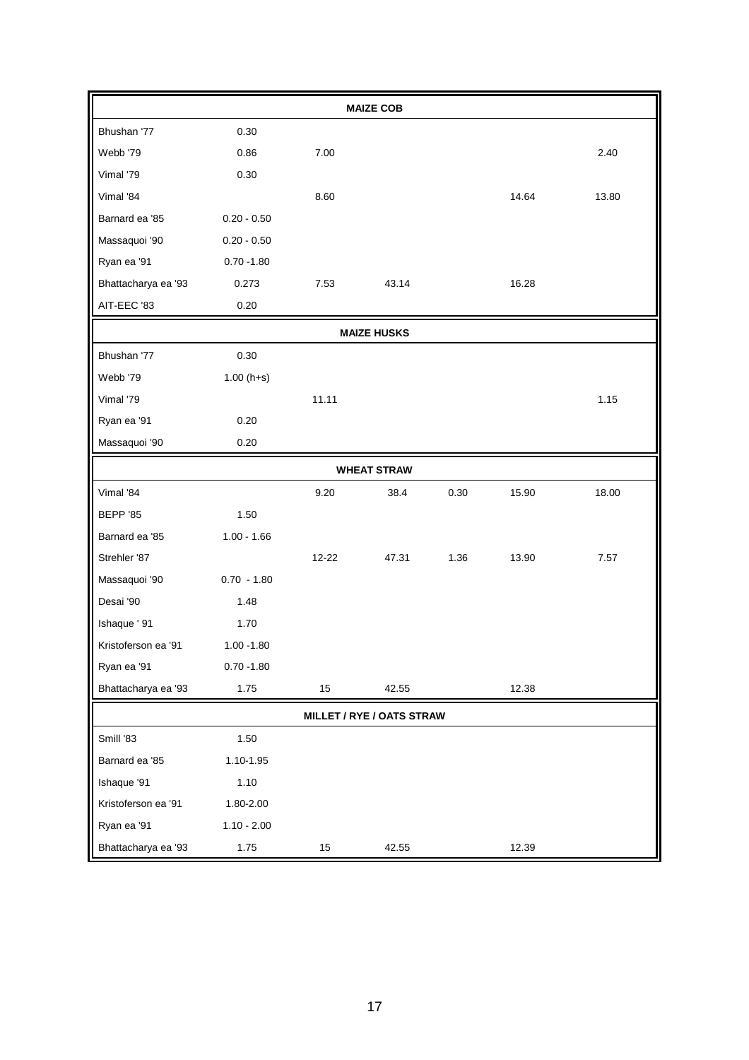|                     |               |        | <b>MAIZE COB</b>                 |      |       |       |
|---------------------|---------------|--------|----------------------------------|------|-------|-------|
| Bhushan '77         | 0.30          |        |                                  |      |       |       |
| Webb '79            | 0.86          | 7.00   |                                  |      |       | 2.40  |
| Vimal '79           | 0.30          |        |                                  |      |       |       |
| Vimal '84           |               | 8.60   |                                  |      | 14.64 | 13.80 |
| Barnard ea '85      | $0.20 - 0.50$ |        |                                  |      |       |       |
| Massaquoi '90       | $0.20 - 0.50$ |        |                                  |      |       |       |
| Ryan ea '91         | $0.70 - 1.80$ |        |                                  |      |       |       |
| Bhattacharya ea '93 | 0.273         | 7.53   | 43.14                            |      | 16.28 |       |
| AIT-EEC '83         | 0.20          |        |                                  |      |       |       |
|                     |               |        | <b>MAIZE HUSKS</b>               |      |       |       |
| Bhushan '77         | 0.30          |        |                                  |      |       |       |
| Webb '79            | $1.00(h+s)$   |        |                                  |      |       |       |
| Vimal '79           |               | 11.11  |                                  |      |       | 1.15  |
| Ryan ea '91         | 0.20          |        |                                  |      |       |       |
| Massaquoi '90       | 0.20          |        |                                  |      |       |       |
|                     |               |        | <b>WHEAT STRAW</b>               |      |       |       |
| Vimal '84           |               | 9.20   | 38.4                             | 0.30 | 15.90 | 18.00 |
| <b>BEPP '85</b>     | 1.50          |        |                                  |      |       |       |
| Barnard ea '85      | $1.00 - 1.66$ |        |                                  |      |       |       |
| Strehler '87        |               | 12-22  | 47.31                            | 1.36 | 13.90 | 7.57  |
| Massaquoi '90       | $0.70 - 1.80$ |        |                                  |      |       |       |
| Desai '90           | 1.48          |        |                                  |      |       |       |
| Ishaque ' 91        | 1.70          |        |                                  |      |       |       |
| Kristoferson ea '91 | $1.00 - 1.80$ |        |                                  |      |       |       |
| Ryan ea '91         | $0.70 - 1.80$ |        |                                  |      |       |       |
| Bhattacharya ea '93 | 1.75          | 15     | 42.55                            |      | 12.38 |       |
|                     |               |        | <b>MILLET / RYE / OATS STRAW</b> |      |       |       |
| Smill '83           | 1.50          |        |                                  |      |       |       |
| Barnard ea '85      | 1.10-1.95     |        |                                  |      |       |       |
| Ishaque '91         | 1.10          |        |                                  |      |       |       |
| Kristoferson ea '91 | 1.80-2.00     |        |                                  |      |       |       |
| Ryan ea '91         | $1.10 - 2.00$ |        |                                  |      |       |       |
| Bhattacharya ea '93 | 1.75          | $15\,$ | 42.55                            |      | 12.39 |       |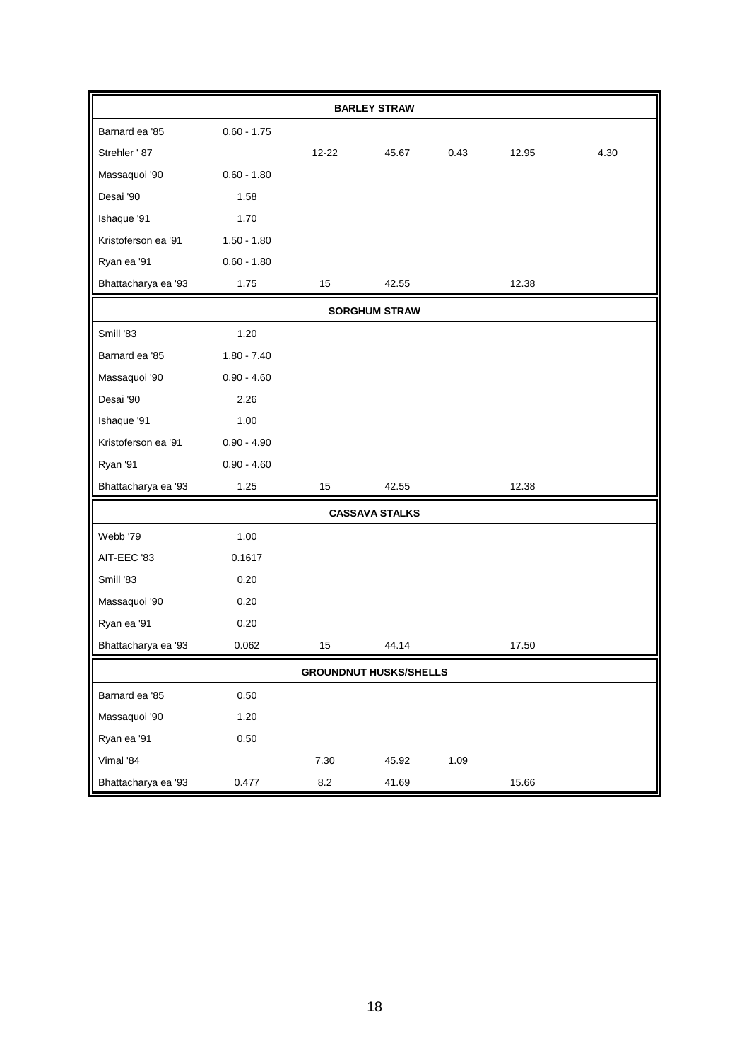| <b>BARLEY STRAW</b> |               |         |                               |      |       |      |  |  |  |  |  |  |  |
|---------------------|---------------|---------|-------------------------------|------|-------|------|--|--|--|--|--|--|--|
| Barnard ea '85      | $0.60 - 1.75$ |         |                               |      |       |      |  |  |  |  |  |  |  |
| Strehler ' 87       |               | 12-22   | 45.67                         | 0.43 | 12.95 | 4.30 |  |  |  |  |  |  |  |
| Massaquoi '90       | $0.60 - 1.80$ |         |                               |      |       |      |  |  |  |  |  |  |  |
| Desai '90           | 1.58          |         |                               |      |       |      |  |  |  |  |  |  |  |
| Ishaque '91         | 1.70          |         |                               |      |       |      |  |  |  |  |  |  |  |
| Kristoferson ea '91 | $1.50 - 1.80$ |         |                               |      |       |      |  |  |  |  |  |  |  |
| Ryan ea '91         | $0.60 - 1.80$ |         |                               |      |       |      |  |  |  |  |  |  |  |
| Bhattacharya ea '93 | 1.75          | 15      | 42.55                         |      | 12.38 |      |  |  |  |  |  |  |  |
|                     |               |         | <b>SORGHUM STRAW</b>          |      |       |      |  |  |  |  |  |  |  |
| Smill '83           | 1.20          |         |                               |      |       |      |  |  |  |  |  |  |  |
| Barnard ea '85      | $1.80 - 7.40$ |         |                               |      |       |      |  |  |  |  |  |  |  |
| Massaquoi '90       | $0.90 - 4.60$ |         |                               |      |       |      |  |  |  |  |  |  |  |
| Desai '90           | 2.26          |         |                               |      |       |      |  |  |  |  |  |  |  |
| Ishaque '91         | 1.00          |         |                               |      |       |      |  |  |  |  |  |  |  |
| Kristoferson ea '91 | $0.90 - 4.90$ |         |                               |      |       |      |  |  |  |  |  |  |  |
| Ryan '91            | $0.90 - 4.60$ |         |                               |      |       |      |  |  |  |  |  |  |  |
| Bhattacharya ea '93 | 1.25          | 15      | 42.55                         |      | 12.38 |      |  |  |  |  |  |  |  |
|                     |               |         | <b>CASSAVA STALKS</b>         |      |       |      |  |  |  |  |  |  |  |
| Webb '79            | 1.00          |         |                               |      |       |      |  |  |  |  |  |  |  |
| AIT-EEC '83         | 0.1617        |         |                               |      |       |      |  |  |  |  |  |  |  |
| Smill '83           | 0.20          |         |                               |      |       |      |  |  |  |  |  |  |  |
| Massaquoi '90       | 0.20          |         |                               |      |       |      |  |  |  |  |  |  |  |
| Ryan ea '91         | 0.20          |         |                               |      |       |      |  |  |  |  |  |  |  |
| Bhattacharya ea '93 | 0.062         | 15      | 44.14                         |      | 17.50 |      |  |  |  |  |  |  |  |
|                     |               |         | <b>GROUNDNUT HUSKS/SHELLS</b> |      |       |      |  |  |  |  |  |  |  |
| Barnard ea '85      | 0.50          |         |                               |      |       |      |  |  |  |  |  |  |  |
| Massaquoi '90       | 1.20          |         |                               |      |       |      |  |  |  |  |  |  |  |
| Ryan ea '91         | 0.50          |         |                               |      |       |      |  |  |  |  |  |  |  |
| Vimal '84           |               | 7.30    | 45.92                         | 1.09 |       |      |  |  |  |  |  |  |  |
| Bhattacharya ea '93 | 0.477         | $8.2\,$ | 41.69                         |      | 15.66 |      |  |  |  |  |  |  |  |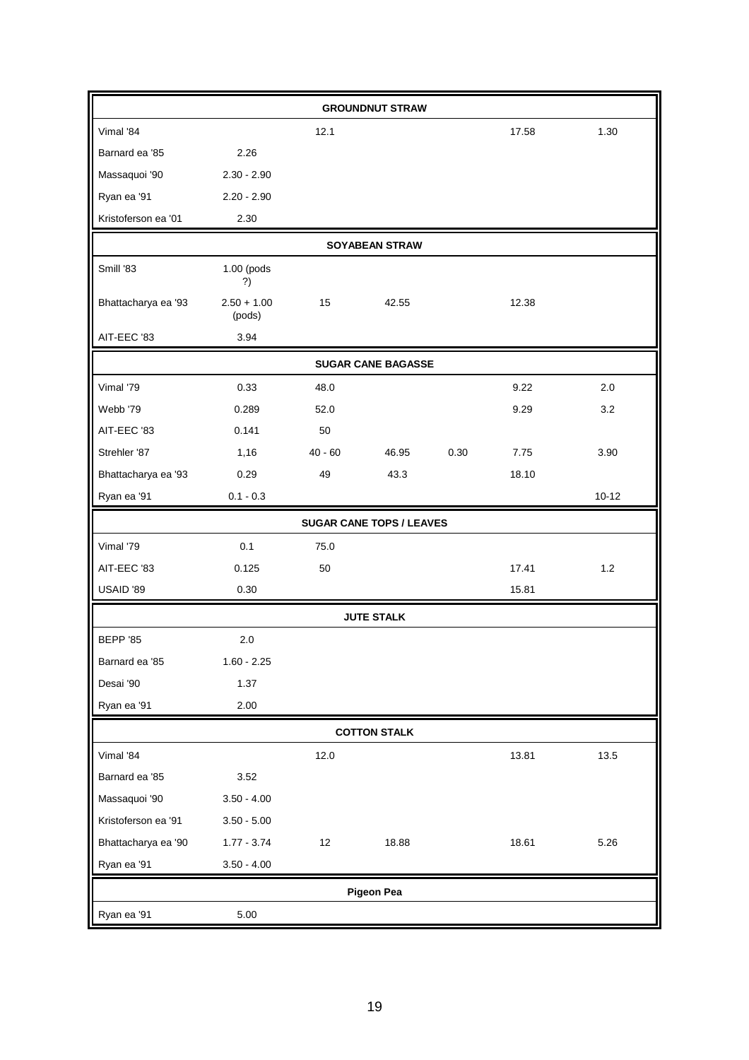|                     |                         |           | <b>GROUNDNUT STRAW</b>          |      |       |           |
|---------------------|-------------------------|-----------|---------------------------------|------|-------|-----------|
| Vimal '84           |                         | 12.1      |                                 |      | 17.58 | 1.30      |
| Barnard ea '85      | 2.26                    |           |                                 |      |       |           |
| Massaquoi '90       | $2.30 - 2.90$           |           |                                 |      |       |           |
| Ryan ea '91         | $2.20 - 2.90$           |           |                                 |      |       |           |
| Kristoferson ea '01 | 2.30                    |           |                                 |      |       |           |
|                     |                         |           | <b>SOYABEAN STRAW</b>           |      |       |           |
| Smill '83           | 1.00 (pods<br>?)        |           |                                 |      |       |           |
| Bhattacharya ea '93 | $2.50 + 1.00$<br>(pods) | 15        | 42.55                           |      | 12.38 |           |
| AIT-EEC '83         | 3.94                    |           |                                 |      |       |           |
|                     |                         |           | <b>SUGAR CANE BAGASSE</b>       |      |       |           |
| Vimal '79           | 0.33                    | 48.0      |                                 |      | 9.22  | 2.0       |
| Webb '79            | 0.289                   | 52.0      |                                 |      | 9.29  | 3.2       |
| AIT-EEC '83         | 0.141                   | 50        |                                 |      |       |           |
| Strehler '87        | 1,16                    | $40 - 60$ | 46.95                           | 0.30 | 7.75  | 3.90      |
| Bhattacharya ea '93 | 0.29                    | 49        | 43.3                            |      | 18.10 |           |
| Ryan ea '91         | $0.1 - 0.3$             |           |                                 |      |       | $10 - 12$ |
|                     |                         |           | <b>SUGAR CANE TOPS / LEAVES</b> |      |       |           |
| Vimal '79           | 0.1                     | 75.0      |                                 |      |       |           |
| AIT-EEC '83         | 0.125                   | 50        |                                 |      | 17.41 | 1.2       |
| USAID '89           | 0.30                    |           |                                 |      | 15.81 |           |
|                     |                         |           | <b>JUTE STALK</b>               |      |       |           |
| <b>BEPP '85</b>     | 2.0                     |           |                                 |      |       |           |
| Barnard ea '85      | $1.60 - 2.25$           |           |                                 |      |       |           |
| Desai '90           | 1.37                    |           |                                 |      |       |           |
| Ryan ea '91         | 2.00                    |           |                                 |      |       |           |
|                     |                         |           | <b>COTTON STALK</b>             |      |       |           |
| Vimal '84           |                         |           |                                 |      |       |           |
|                     |                         | 12.0      |                                 |      | 13.81 | 13.5      |
| Barnard ea '85      | 3.52                    |           |                                 |      |       |           |
| Massaquoi '90       | $3.50 - 4.00$           |           |                                 |      |       |           |
| Kristoferson ea '91 | $3.50 - 5.00$           |           |                                 |      |       |           |
| Bhattacharya ea '90 | $1.77 - 3.74$           | 12        | 18.88                           |      | 18.61 | 5.26      |
| Ryan ea '91         | $3.50 - 4.00$           |           |                                 |      |       |           |
|                     |                         |           | <b>Pigeon Pea</b>               |      |       |           |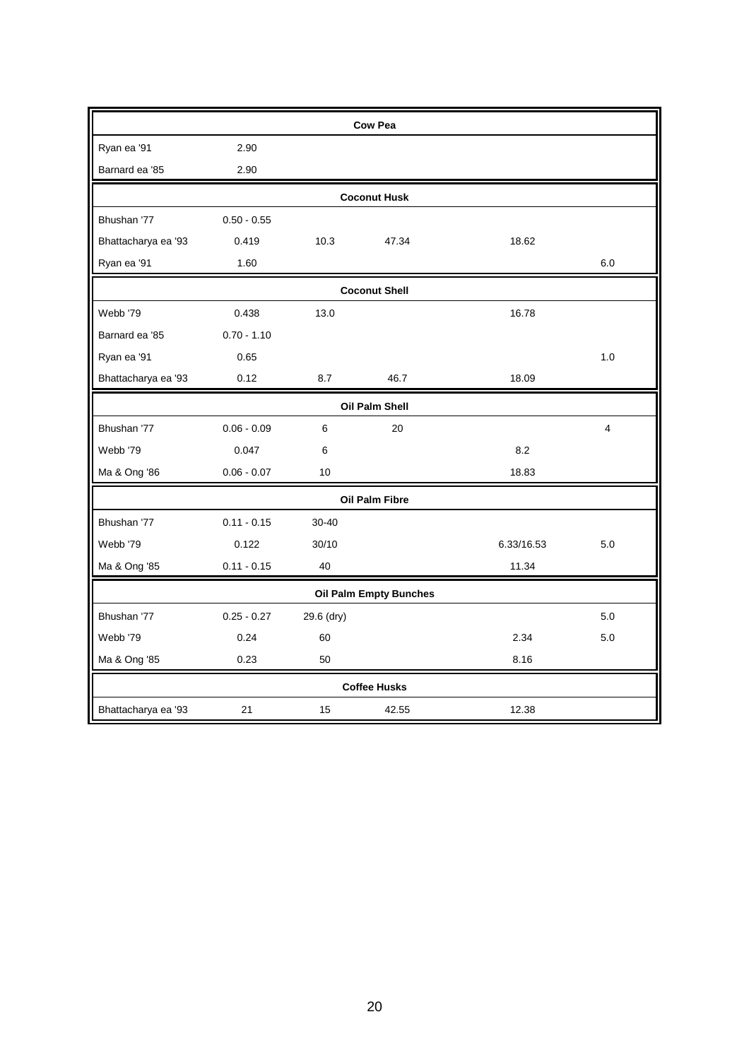|                              |               |            | <b>Cow Pea</b>                |            |     |  |  |  |  |  |  |
|------------------------------|---------------|------------|-------------------------------|------------|-----|--|--|--|--|--|--|
| Ryan ea '91                  | 2.90          |            |                               |            |     |  |  |  |  |  |  |
| Barnard ea '85               | 2.90          |            |                               |            |     |  |  |  |  |  |  |
|                              |               |            | <b>Coconut Husk</b>           |            |     |  |  |  |  |  |  |
| Bhushan '77<br>$0.50 - 0.55$ |               |            |                               |            |     |  |  |  |  |  |  |
| Bhattacharya ea '93          | 0.419         | 10.3       | 47.34                         | 18.62      |     |  |  |  |  |  |  |
| Ryan ea '91                  | 1.60          |            |                               |            | 6.0 |  |  |  |  |  |  |
|                              |               |            | <b>Coconut Shell</b>          |            |     |  |  |  |  |  |  |
| Webb '79                     | 0.438         | 13.0       |                               | 16.78      |     |  |  |  |  |  |  |
| Barnard ea '85               | $0.70 - 1.10$ |            |                               |            |     |  |  |  |  |  |  |
| Ryan ea '91                  | 0.65          |            |                               |            | 1.0 |  |  |  |  |  |  |
| Bhattacharya ea '93          | 0.12          | 8.7        | 46.7                          | 18.09      |     |  |  |  |  |  |  |
|                              |               |            | Oil Palm Shell                |            |     |  |  |  |  |  |  |
| Bhushan '77                  | $0.06 - 0.09$ | 6          | 20                            |            | 4   |  |  |  |  |  |  |
| Webb '79                     | 0.047         | 6          |                               | 8.2        |     |  |  |  |  |  |  |
| Ma & Ong '86                 | $0.06 - 0.07$ | 10         |                               | 18.83      |     |  |  |  |  |  |  |
|                              |               |            | Oil Palm Fibre                |            |     |  |  |  |  |  |  |
| Bhushan '77                  | $0.11 - 0.15$ | $30 - 40$  |                               |            |     |  |  |  |  |  |  |
| Webb '79                     | 0.122         | 30/10      |                               | 6.33/16.53 | 5.0 |  |  |  |  |  |  |
| Ma & Ong '85                 | $0.11 - 0.15$ | 40         |                               | 11.34      |     |  |  |  |  |  |  |
|                              |               |            | <b>Oil Palm Empty Bunches</b> |            |     |  |  |  |  |  |  |
| Bhushan '77                  | $0.25 - 0.27$ | 29.6 (dry) |                               |            | 5.0 |  |  |  |  |  |  |
| Webb '79                     | 0.24          | 60         |                               | 2.34       | 5.0 |  |  |  |  |  |  |
| Ma & Ong '85                 | 0.23          | 50         |                               | 8.16       |     |  |  |  |  |  |  |
|                              |               |            | <b>Coffee Husks</b>           |            |     |  |  |  |  |  |  |
| Bhattacharya ea '93          | 21            | 15         | 42.55                         | 12.38      |     |  |  |  |  |  |  |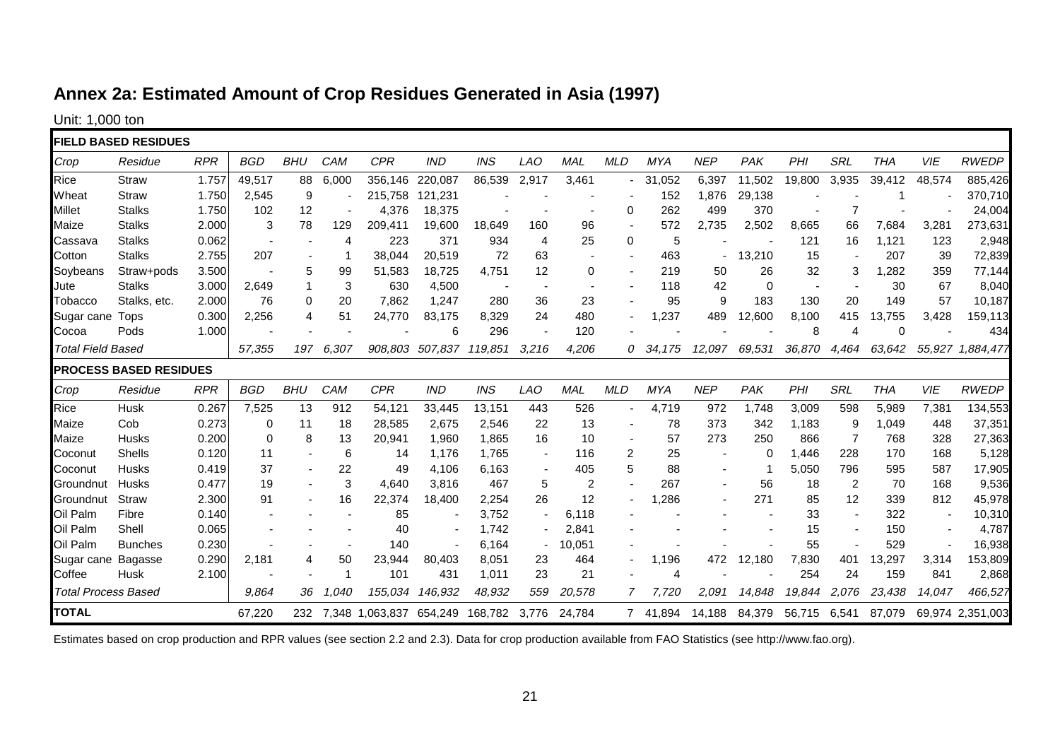# **Annex 2a: Estimated Amount of Crop Residues Generated in Asia (1997)**

Unit: 1,000 ton

|                            | <b>FIELD BASED RESIDUES</b>   |            |             |                          |       |                                 |                 |            |                          |            |                |          |                          |          |              |                          |            |        |                  |
|----------------------------|-------------------------------|------------|-------------|--------------------------|-------|---------------------------------|-----------------|------------|--------------------------|------------|----------------|----------|--------------------------|----------|--------------|--------------------------|------------|--------|------------------|
|                            |                               |            |             |                          |       |                                 |                 |            |                          |            |                |          |                          |          |              |                          |            |        |                  |
| Crop                       | Residue                       | <b>RPR</b> | <b>BGD</b>  | <b>BHU</b>               | CAM   | <b>CPR</b>                      | <b>IND</b>      | <b>INS</b> | <b>LAO</b>               | <b>MAL</b> | <b>MLD</b>     | MYA      | <b>NEP</b>               | PAK      | PHI          | <b>SRL</b>               | <b>THA</b> | VIE    | <b>RWEDP</b>     |
| <b>Rice</b>                | <b>Straw</b>                  | 1.757      | 49,517      | 88                       | 6,000 | 356.146                         | 220,087         | 86,539     | 2,917                    | 3,461      |                | 31,052   | 6,397                    | 11,502   | 19,800       | 3,935                    | 39,412     | 48,574 | 885,426          |
| Wheat                      | Straw                         | 1.750      | 2,545       | 9                        |       | 215,758                         | 121,231         |            |                          |            |                | 152      | 1,876                    | 29,138   |              |                          |            |        | 370,710          |
| Millet                     | <b>Stalks</b>                 | 1.750      | 102         | 12                       |       | 4,376                           | 18,375          |            |                          |            | $\Omega$       | 262      | 499                      | 370      |              | 7                        |            |        | 24,004           |
| Maize                      | <b>Stalks</b>                 | 2.000      | 3           | 78                       | 129   | 209,411                         | 19,600          | 18,649     | 160                      | 96         |                | 572      | 2,735                    | 2,502    | 8,665        | 66                       | 7,684      | 3,281  | 273,631          |
| Cassava                    | <b>Stalks</b>                 | 0.062      |             |                          | 4     | 223                             | 371             | 934        | 4                        | 25         | $\Omega$       | 5        |                          |          | 121          | 16                       | 1,121      | 123    | 2,948            |
| Cotton                     | <b>Stalks</b>                 | 2.755      | 207         |                          |       | 38,044                          | 20,519          | 72         | 63                       |            |                | 463      |                          | 13,210   | 15           |                          | 207        | 39     | 72,839           |
| Soybeans                   | Straw+pods                    | 3.500      |             | 5                        | 99    | 51,583                          | 18,725          | 4,751      | 12                       | 0          | $\blacksquare$ | 219      | 50                       | 26       | 32           | 3                        | 1,282      | 359    | 77,144           |
| Jute                       | <b>Stalks</b>                 | 3.000      | 2,649       | $\overline{1}$           | 3     | 630                             | 4,500           |            | $\overline{\phantom{a}}$ |            |                | 118      | 42                       | 0        |              |                          | 30         | 67     | 8,040            |
| Tobacco                    | Stalks, etc.                  | 2.000      | 76          | 0                        | 20    | 7,862                           | 1,247           | 280        | 36                       | 23         |                | 95       | 9                        | 183      | 130          | 20                       | 149        | 57     | 10,187           |
| Sugar cane                 | <b>Tops</b>                   | 0.300      | 2,256       | 4                        | 51    | 24,770                          | 83,175          | 8,329      | 24                       | 480        | $\sim$         | 1,237    | 489                      | 12,600   | 8,100        | 415                      | 13,755     | 3,428  | 159,113          |
| Cocoa                      | Pods                          | 1.000      |             |                          |       |                                 | 6               | 296        |                          | 120        |                |          |                          |          | 8            | Δ                        | 0          |        | 434              |
| <b>Total Field Based</b>   |                               |            | 57,355      | 197                      | 6,307 |                                 | 908,803 507,837 | 119,851    | 3,216                    | 4,206      | 0              | 34,175   | 12,097                   | 69,531   | 36,870       | 4,464                    | 63,642     |        | 55,927 1,884,477 |
|                            | <b>PROCESS BASED RESIDUES</b> |            |             |                          |       |                                 |                 |            |                          |            |                |          |                          |          |              |                          |            |        |                  |
| Crop                       | Residue                       | <b>RPR</b> | <b>BGD</b>  | <b>BHU</b>               | CAM   | <b>CPR</b>                      | <b>IND</b>      | <b>INS</b> | <b>LAO</b>               | <b>MAL</b> | <b>MLD</b>     | MYA      | <b>NEP</b>               | PAK      | PHI          | SRL                      | <b>THA</b> | VIE    | <b>RWEDP</b>     |
| Rice                       | Husk                          | 0.267      | 7,525       | 13                       | 912   | 54,121                          | 33,445          | 13,151     | 443                      | 526        |                | 4,719    | 972                      | 1,748    | 3,009        | 598                      | 5,989      | 7,381  | 134,553          |
| Maize                      | Cob                           | 0.273      | $\mathbf 0$ | 11                       | 18    | 28,585                          | 2,675           | 2,546      | 22                       | 13         |                | 78       | 373                      | 342      | 1,183        | 9                        | 1,049      | 448    | 37,351           |
| Maize                      | <b>Husks</b>                  | 0.200      | $\Omega$    | 8                        | 13    | 20,941                          | 1,960           | 1,865      | 16                       | 10         |                | 57       | 273                      | 250      | 866          | 7                        | 768        | 328    | 27,363           |
| Coconut                    | Shells                        | 0.120      | 11          | $\overline{\phantom{a}}$ | 6     | 14                              | 1,176           | 1,765      | $\overline{\phantom{a}}$ | 116        | 2              | 25       | $\overline{\phantom{a}}$ | $\Omega$ | 1,446        | 228                      | 170        | 168    | 5,128            |
| Coconut                    | <b>Husks</b>                  | 0.419      | 37          |                          | 22    | 49                              | 4,106           | 6,163      | $\overline{\phantom{a}}$ | 405        | 5              | 88       | $\overline{a}$           |          | 5,050        | 796                      | 595        | 587    | 17,905           |
| Groundnut                  | Husks                         | 0.477      | 19          |                          | 3     | 4,640                           | 3,816           | 467        | 5                        | 2          |                | 267      | $\blacksquare$           | 56       | 18           | 2                        | 70         | 168    | 9,536            |
| Groundnut                  | Straw                         | 2.300      | 91          |                          | 16    | 22,374                          | 18,400          | 2,254      | 26                       | 12         |                | 1,286    | $\blacksquare$           | 271      | 85           | 12                       | 339        | 812    | 45,978           |
| Oil Palm                   | Fibre                         | 0.140      |             |                          |       | 85                              |                 | 3,752      |                          | 6,118      |                |          |                          |          | 33           | $\blacksquare$           | 322        |        | 10,310           |
| Oil Palm                   | Shell                         | 0.065      |             |                          |       | 40                              |                 | 1,742      | $\sim$                   | 2,841      |                |          |                          |          | 15           | $\overline{\phantom{a}}$ | 150        |        | 4,787            |
| Oil Palm                   | <b>Bunches</b>                | 0.230      |             |                          |       | 140                             |                 | 6,164      | $\sim$                   | 10,051     |                |          |                          |          | 55           |                          | 529        |        | 16,938           |
| Sugar cane                 | <b>Bagasse</b>                | 0.290      | 2,181       | 4                        | 50    | 23,944                          | 80,403          | 8,051      | 23                       | 464        |                | 1,196    | 472                      | 12,180   | 7,830        | 401                      | 13,297     | 3,314  | 153,809          |
| Coffee                     | Husk                          | 2.100      |             |                          | -1    | 101                             | 431             | 1,011      | 23                       | 21         |                | 4        |                          |          | 254          | 24                       | 159        | 841    | 2,868            |
| <b>Total Process Based</b> |                               |            | 9,864       | 36                       | 1,040 | 155,034                         | 146,932         | 48,932     | 559                      | 20,578     | 7              | 7,720    | 2,091                    | 14,848   | 19,844       | 2,076                    | 23,438     | 14,047 | 466,527          |
| <b>TOTAL</b>               |                               |            | 67,220      | 232                      |       | 7,348 1,063,837 654,249 168,782 |                 |            | 3.776                    | 24,784     |                | 7 41,894 | 14,188                   | 84,379   | 56,715 6,541 |                          | 87,079     |        | 69,974 2,351,003 |

<span id="page-20-0"></span>Estimates based on crop production and RPR values (see section 2.2 and 2.3). Data for crop production available from FAO Statistics (see http://www.fao.org).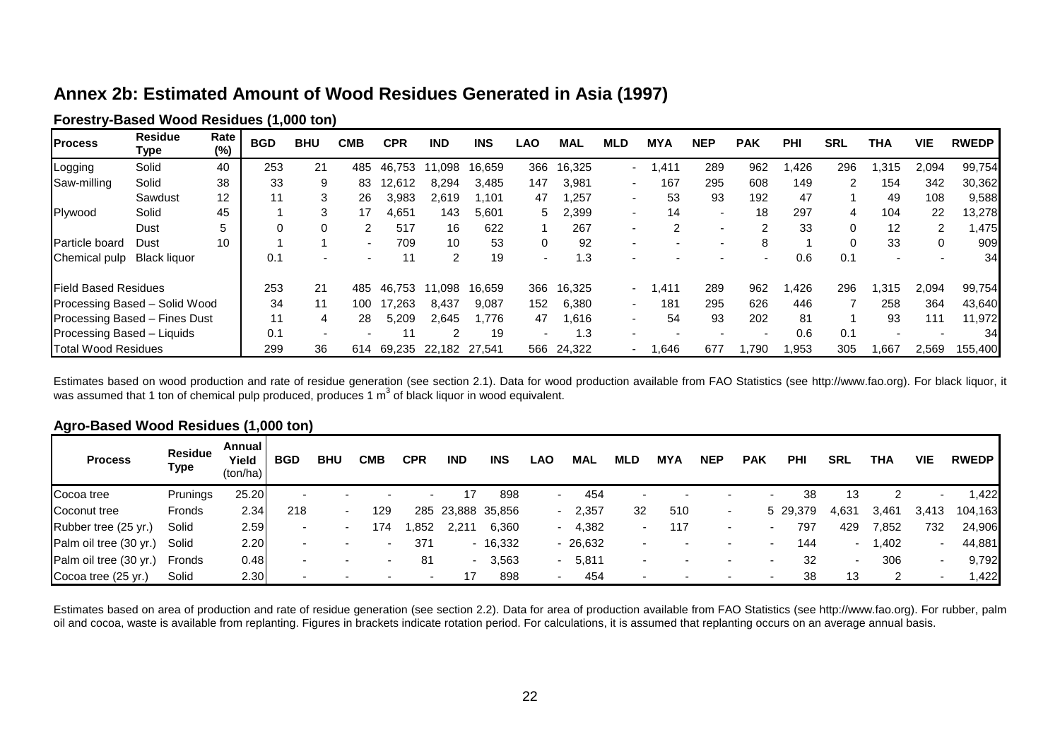# **Annex 2b: Estimated Amount of Wood Residues Generated in Asia (1997)**

| <b>Forestry-Based Wood Residues (1,000 ton)</b> |  |
|-------------------------------------------------|--|
|-------------------------------------------------|--|

| <b>Process</b>                | <b>Residue</b><br>Type | Rate<br>$(\%)$ | <b>BGD</b> | <b>BHU</b> | СМВ | CPR    | <b>IND</b>    | <b>INS</b> | LAO | MAL        | MLD              | <b>MYA</b> | <b>NEP</b>               | <b>PAK</b> | <b>PHI</b> | <b>SRL</b> | THA   | <b>VIE</b> | <b>RWEDP</b> |
|-------------------------------|------------------------|----------------|------------|------------|-----|--------|---------------|------------|-----|------------|------------------|------------|--------------------------|------------|------------|------------|-------|------------|--------------|
| Logging                       | Solid                  | 40             | 253        | 21         | 485 | 46.753 | 11.098        | 16.659     | 366 | 16,325     | $\sim$ 100 $\mu$ | .411       | 289                      | 962        | 1.426      | 296        | .315  | 2.094      | 99,754       |
| Saw-milling                   | Solid                  | 38             | 33         | 9          | 83  | 12,612 | 8,294         | 3,485      | 147 | 3,981      |                  | 167        | 295                      | 608        | 149        | 2          | 154   | 342        | 30,362       |
|                               | Sawdust                | 12             | 11         | 3          | 26  | 3,983  | 2.619         | 1.101      | 47  | .257       |                  | 53         | 93                       | 192        | 47         |            | 49    | 108        | 9,588        |
| Plywood                       | Solid                  | 45             |            | 3          | 17  | 4,651  | 143           | 5,601      | 5.  | 2,399      |                  | 14         | $\overline{\phantom{a}}$ | 18         | 297        | 4          | 104   | 22         | 13,278       |
|                               | Dust                   | 5              |            | 0          | 2   | 517    | 16            | 622        |     | 267        |                  |            |                          |            | 33         | 0          | 12    | 2          | 1,475        |
| <b>Particle board</b>         | Dust                   | 10             |            |            |     | 709    | 10            | 53         | 0   | 92         |                  |            |                          |            |            | 0          | 33    | 0          | 909          |
| Chemical pulp                 | <b>Black liquor</b>    |                | 0.1        |            |     |        |               | 19         |     | .3         |                  |            |                          |            | 0.6        | 0.1        |       |            | 34I          |
| <b>IField Based Residues</b>  |                        |                | 253        | 21         | 485 | 46.753 | 11.098        | 16.659     | 366 | 16,325     | . .              | 1.411      | 289                      | 962        | 1,426      | 296        | 1,315 | 2,094      | 99,754       |
| Processing Based - Solid Wood |                        |                | 34         | 11         | 100 | 17.263 | 8,437         | 9.087      | 152 | 6,380      |                  | 181        | 295                      | 626        | 446        |            | 258   | 364        | 43,640       |
| Processing Based - Fines Dust |                        |                | 11         | 4          | 28  | 5.209  | 2.645         | 1.776      | 47  | .616       |                  | 54         | 93                       | 202        | 81         |            | 93    | 111        | 11,972       |
| Processing Based - Liquids    |                        |                | 0.1        |            |     |        |               | 19         |     | 1.3        |                  |            |                          |            | 0.6        | 0.1        |       |            | 34           |
| <b>Total Wood Residues</b>    |                        |                | 299        | 36         | 614 | 69.235 | 22,182 27,541 |            |     | 566 24,322 |                  | 1,646      | 677                      | .790       | .953       | 305        | .667  | 2.569      | 155,400      |

Estimates based on wood production and rate of residue generation (see section 2.1). Data for wood production available from FAO Statistics (see http://www.fao.org). For black liquor, it was assumed that 1 ton of chemical pulp produced, produces 1 m<sup>3</sup> of black liquor in wood equivalent.

| Agro-Based Wood Residues (1,000 ton) |  |
|--------------------------------------|--|
|--------------------------------------|--|

| -<br><b>Process</b>    | <b>Residue</b><br>Type | Annual I<br>Yield<br>(ton/ha) | <b>BGD</b> | <b>BHU</b>               | СМВ | CPR  | <b>IND</b> | <b>INS</b>        | LAO. | MAL             | MLD                      | MYA | <b>NEP</b> | <b>PAK</b>               | <b>PHI</b> | <b>SRL</b>               | THA   | <b>VIE</b>               | <b>RWEDP</b> |
|------------------------|------------------------|-------------------------------|------------|--------------------------|-----|------|------------|-------------------|------|-----------------|--------------------------|-----|------------|--------------------------|------------|--------------------------|-------|--------------------------|--------------|
| Cocoa tree             | Prunings               | 25.20                         | -          |                          |     |      |            | 898               | . .  | 454             | . .                      |     | $\sim$     | $\overline{\phantom{0}}$ | 38         | 13                       |       | $\overline{\phantom{0}}$ | .422         |
| Coconut tree           | Fronds                 | 2.34                          | 218        | $\overline{\phantom{0}}$ | 129 |      |            | 285 23,888 35,856 |      | 2,357<br>$\sim$ | 32                       | 510 | $\sim$     |                          | 5 29,379   | 4,631                    | 3,461 | 3,413                    | 104,163      |
| Rubber tree (25 yr.)   | Solid                  | 2.59                          | -          |                          | 174 | .852 | 2,21       | 6,360             | -    | 4,382           | $\overline{\phantom{0}}$ | 117 | -          | $\overline{\phantom{0}}$ | 797        | 429                      | 7,852 | 732                      | 24,906       |
| Palm oil tree (30 yr.) | Solid                  | 2.20                          |            |                          |     | 371  |            | $-16,332$         |      | $-26,632$       |                          |     |            | $\overline{\phantom{a}}$ | 144        |                          | 1,402 |                          | 44,881       |
| Palm oil tree (30 yr.) | Fronds                 | 0.48                          |            |                          |     | 81   | $\sim$     | 3,563             | - 1  | 5,811           |                          |     |            | $\overline{\phantom{a}}$ | 32         | $\overline{\phantom{0}}$ | 306   | $\overline{\phantom{a}}$ | 9,792        |
| Cocoa tree (25 yr.)    | Solid                  | 2.30                          |            |                          |     |      |            | 898               | -    | 454             |                          |     |            | -                        | 38         | 13                       | ົ     |                          | 1,422        |

<span id="page-21-0"></span>Estimates based on area of production and rate of residue generation (see section 2.2). Data for area of production available from FAO Statistics (see http://www.fao.org). For rubber, palm oil and cocoa, waste is available from replanting. Figures in brackets indicate rotation period. For calculations, it is assumed that replanting occurs on an average annual basis.